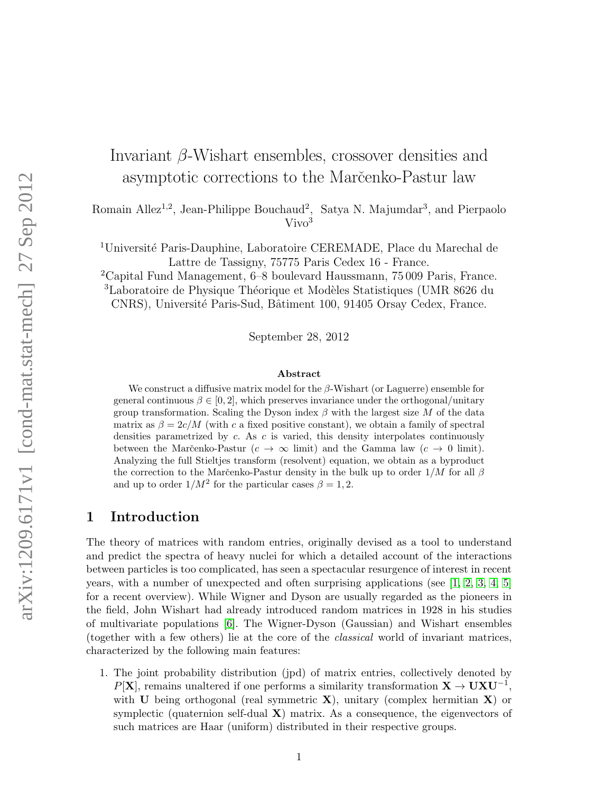# Invariant β-Wishart ensembles, crossover densities and asymptotic corrections to the Marcenko-Pastur law

Romain Allez<sup>1,2</sup>, Jean-Philippe Bouchaud<sup>2</sup>, Satya N. Majumdar<sup>3</sup>, and Pierpaolo  $\rm Vivo^3$ 

<sup>1</sup>Université Paris-Dauphine, Laboratoire CEREMADE, Place du Marechal de Lattre de Tassigny, 75775 Paris Cedex 16 - France.

<sup>2</sup>Capital Fund Management, 6–8 boulevard Haussmann, 75 009 Paris, France. <sup>3</sup>Laboratoire de Physique Théorique et Modèles Statistiques (UMR 8626 du

CNRS), Université Paris-Sud, Bâtiment 100, 91405 Orsay Cedex, France.

September 28, 2012

#### Abstract

We construct a diffusive matrix model for the  $\beta$ -Wishart (or Laguerre) ensemble for general continuous  $\beta \in [0, 2]$ , which preserves invariance under the orthogonal/unitary group transformation. Scaling the Dyson index  $\beta$  with the largest size M of the data matrix as  $\beta = 2c/M$  (with c a fixed positive constant), we obtain a family of spectral densities parametrized by c. As c is varied, this density interpolates continuously between the Marčenko-Pastur ( $c \to \infty$  limit) and the Gamma law ( $c \to 0$  limit). Analyzing the full Stieltjes transform (resolvent) equation, we obtain as a byproduct the correction to the Marc̆enko-Pastur density in the bulk up to order  $1/M$  for all  $\beta$ and up to order  $1/M^2$  for the particular cases  $\beta = 1, 2$ .

## 1 Introduction

The theory of matrices with random entries, originally devised as a tool to understand and predict the spectra of heavy nuclei for which a detailed account of the interactions between particles is too complicated, has seen a spectacular resurgence of interest in recent years, with a number of unexpected and often surprising applications (see [\[1,](#page-23-0) [2,](#page-23-1) [3,](#page-23-2) [4,](#page-24-0) [5\]](#page-24-1) for a recent overview). While Wigner and Dyson are usually regarded as the pioneers in the field, John Wishart had already introduced random matrices in 1928 in his studies of multivariate populations [\[6\]](#page-24-2). The Wigner-Dyson (Gaussian) and Wishart ensembles (together with a few others) lie at the core of the classical world of invariant matrices, characterized by the following main features:

1. The joint probability distribution (jpd) of matrix entries, collectively denoted by P[X], remains unaltered if one performs a similarity transformation  $X \to U X U^{-1}$ , with U being orthogonal (real symmetric  $X$ ), unitary (complex hermitian X) or symplectic (quaternion self-dual  $X$ ) matrix. As a consequence, the eigenvectors of such matrices are Haar (uniform) distributed in their respective groups.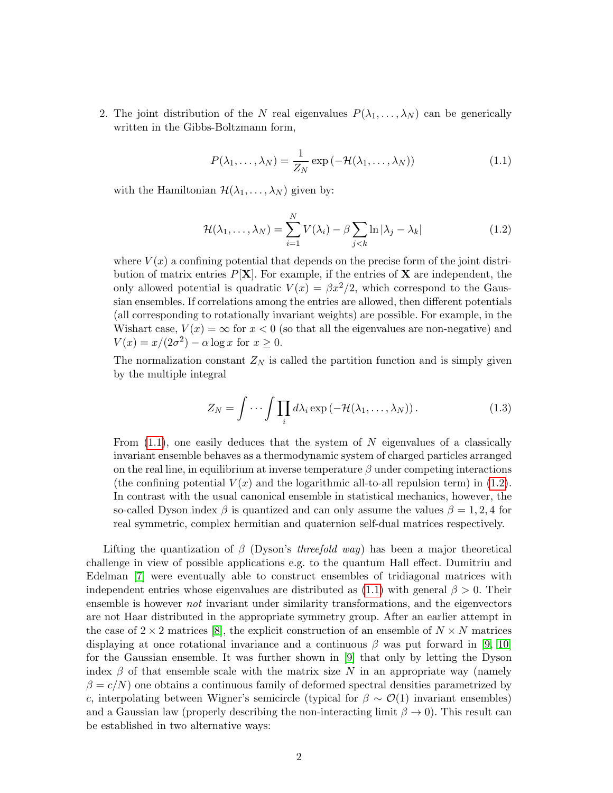2. The joint distribution of the N real eigenvalues  $P(\lambda_1, \ldots, \lambda_N)$  can be generically written in the Gibbs-Boltzmann form,

<span id="page-1-0"></span>
$$
P(\lambda_1, ..., \lambda_N) = \frac{1}{Z_N} \exp(-\mathcal{H}(\lambda_1, ..., \lambda_N))
$$
\n(1.1)

with the Hamiltonian  $\mathcal{H}(\lambda_1, \ldots, \lambda_N)$  given by:

<span id="page-1-1"></span>
$$
\mathcal{H}(\lambda_1,\ldots,\lambda_N) = \sum_{i=1}^N V(\lambda_i) - \beta \sum_{j < k} \ln|\lambda_j - \lambda_k| \tag{1.2}
$$

where  $V(x)$  a confining potential that depends on the precise form of the joint distribution of matrix entries  $P[X]$ . For example, if the entries of **X** are independent, the only allowed potential is quadratic  $V(x) = \beta x^2/2$ , which correspond to the Gaussian ensembles. If correlations among the entries are allowed, then different potentials (all corresponding to rotationally invariant weights) are possible. For example, in the Wishart case,  $V(x) = \infty$  for  $x < 0$  (so that all the eigenvalues are non-negative) and  $V(x) = x/(2\sigma^2) - \alpha \log x$  for  $x \ge 0$ .

The normalization constant  $Z_N$  is called the partition function and is simply given by the multiple integral

<span id="page-1-2"></span>
$$
Z_N = \int \cdots \int \prod_i d\lambda_i \exp(-\mathcal{H}(\lambda_1, \dots, \lambda_N)). \tag{1.3}
$$

From  $(1.1)$ , one easily deduces that the system of N eigenvalues of a classically invariant ensemble behaves as a thermodynamic system of charged particles arranged on the real line, in equilibrium at inverse temperature  $\beta$  under competing interactions (the confining potential  $V(x)$  and the logarithmic all-to-all repulsion term) in [\(1.2\)](#page-1-1). In contrast with the usual canonical ensemble in statistical mechanics, however, the so-called Dyson index  $\beta$  is quantized and can only assume the values  $\beta = 1, 2, 4$  for real symmetric, complex hermitian and quaternion self-dual matrices respectively.

Lifting the quantization of  $\beta$  (Dyson's threefold way) has been a major theoretical challenge in view of possible applications e.g. to the quantum Hall effect. Dumitriu and Edelman [\[7\]](#page-24-3) were eventually able to construct ensembles of tridiagonal matrices with independent entries whose eigenvalues are distributed as  $(1.1)$  with general  $\beta > 0$ . Their ensemble is however not invariant under similarity transformations, and the eigenvectors are not Haar distributed in the appropriate symmetry group. After an earlier attempt in the case of  $2 \times 2$  matrices [\[8\]](#page-24-4), the explicit construction of an ensemble of  $N \times N$  matrices displaying at once rotational invariance and a continuous  $\beta$  was put forward in [\[9,](#page-24-5) [10\]](#page-24-6) for the Gaussian ensemble. It was further shown in [\[9\]](#page-24-5) that only by letting the Dyson index  $\beta$  of that ensemble scale with the matrix size N in an appropriate way (namely  $\beta = c/N$ ) one obtains a continuous family of deformed spectral densities parametrized by c, interpolating between Wigner's semicircle (typical for  $\beta \sim \mathcal{O}(1)$  invariant ensembles) and a Gaussian law (properly describing the non-interacting limit  $\beta \to 0$ ). This result can be established in two alternative ways: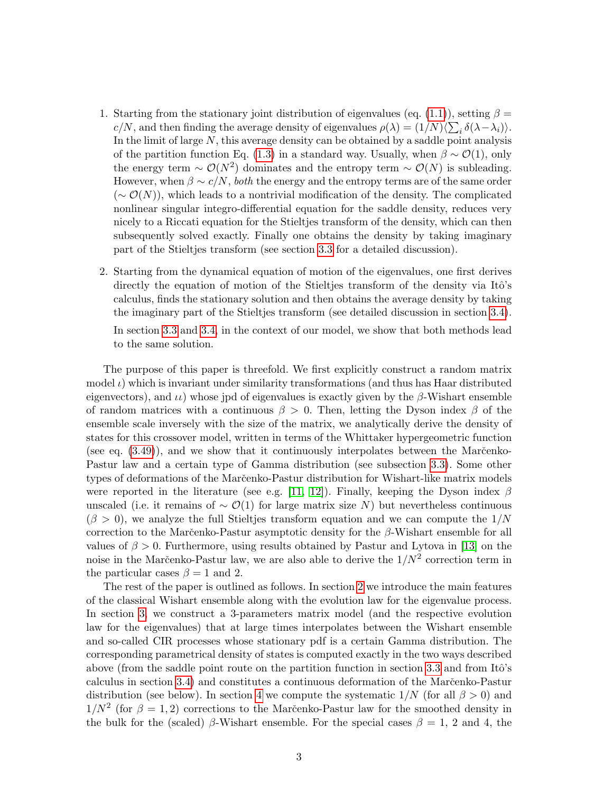- 1. Starting from the stationary joint distribution of eigenvalues (eq. [\(1.1\)](#page-1-0)), setting  $\beta =$  $c/N$ , and then finding the average density of eigenvalues  $\rho(\lambda) = (1/N)\langle \sum_i \delta(\lambda - \lambda_i) \rangle$ . In the limit of large  $N$ , this average density can be obtained by a saddle point analysis of the partition function Eq. [\(1.3\)](#page-1-2) in a standard way. Usually, when  $\beta \sim \mathcal{O}(1)$ , only the energy term  $\sim \mathcal{O}(N^2)$  dominates and the entropy term  $\sim \mathcal{O}(N)$  is subleading. However, when  $\beta \sim c/N$ , both the energy and the entropy terms are of the same order  $({\sim \mathcal{O}(N)})$ , which leads to a nontrivial modification of the density. The complicated nonlinear singular integro-differential equation for the saddle density, reduces very nicely to a Riccati equation for the Stieltjes transform of the density, which can then subsequently solved exactly. Finally one obtains the density by taking imaginary part of the Stieltjes transform (see section [3.3](#page-7-0) for a detailed discussion).
- 2. Starting from the dynamical equation of motion of the eigenvalues, one first derives directly the equation of motion of the Stieltjes transform of the density via Itô's calculus, finds the stationary solution and then obtains the average density by taking the imaginary part of the Stieltjes transform (see detailed discussion in section [3.4\)](#page-14-0).

In section [3.3](#page-7-0) and [3.4,](#page-14-0) in the context of our model, we show that both methods lead to the same solution.

The purpose of this paper is threefold. We first explicitly construct a random matrix model  $\iota$ ) which is invariant under similarity transformations (and thus has Haar distributed eigenvectors), and  $\mu$ ) whose jpd of eigenvalues is exactly given by the  $\beta$ -Wishart ensemble of random matrices with a continuous  $\beta > 0$ . Then, letting the Dyson index  $\beta$  of the ensemble scale inversely with the size of the matrix, we analytically derive the density of states for this crossover model, written in terms of the Whittaker hypergeometric function (see eq.  $(3.49)$ ), and we show that it continuously interpolates between the Mar $\check{c}$ enko-Pastur law and a certain type of Gamma distribution (see subsection [3.3\)](#page-7-0). Some other types of deformations of the Marc̆enko-Pastur distribution for Wishart-like matrix models were reported in the literature (see e.g. [\[11,](#page-24-7) [12\]](#page-24-8)). Finally, keeping the Dyson index  $\beta$ unscaled (i.e. it remains of  $\sim \mathcal{O}(1)$  for large matrix size N) but nevertheless continuous  $(\beta > 0)$ , we analyze the full Stieltjes transform equation and we can compute the  $1/N$ correction to the Marc̆enko-Pastur asymptotic density for the  $\beta$ -Wishart ensemble for all values of  $\beta > 0$ . Furthermore, using results obtained by Pastur and Lytova in [\[13\]](#page-24-9) on the noise in the Marc̆enko-Pastur law, we are also able to derive the  $1/N^2$  correction term in the particular cases  $\beta = 1$  and 2.

The rest of the paper is outlined as follows. In section [2](#page-3-0) we introduce the main features of the classical Wishart ensemble along with the evolution law for the eigenvalue process. In section [3,](#page-5-0) we construct a 3-parameters matrix model (and the respective evolution law for the eigenvalues) that at large times interpolates between the Wishart ensemble and so-called CIR processes whose stationary pdf is a certain Gamma distribution. The corresponding parametrical density of states is computed exactly in the two ways described above (from the saddle point route on the partition function in section [3.3](#page-7-0) and from Itô's calculus in section [3.4\)](#page-14-0) and constitutes a continuous deformation of the Marc̆enko-Pastur distribution (see below). In section [4](#page-17-0) we compute the systematic  $1/N$  (for all  $\beta > 0$ ) and  $1/N^2$  (for  $\beta = 1, 2$ ) corrections to the Marc̆enko-Pastur law for the smoothed density in the bulk for the (scaled) β-Wishart ensemble. For the special cases  $\beta = 1, 2$  and 4, the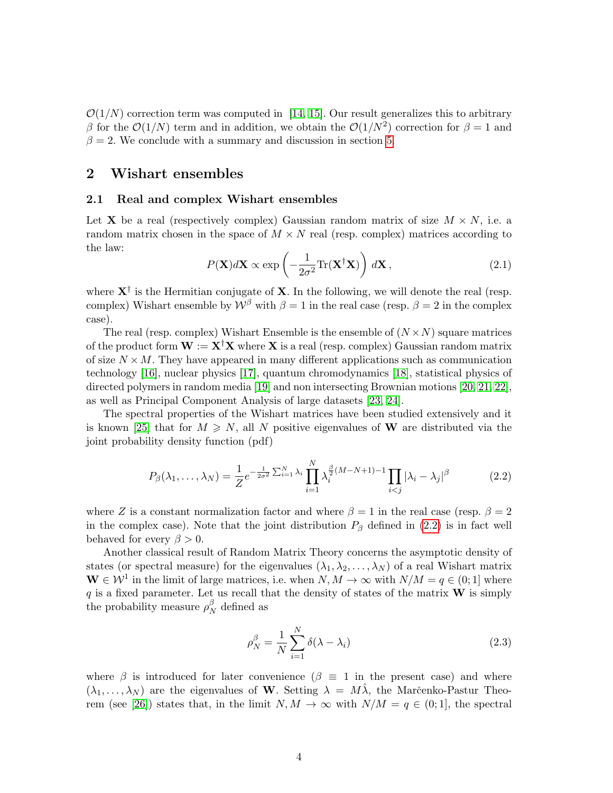$\mathcal{O}(1/N)$  correction term was computed in [\[14,](#page-24-10) [15\]](#page-24-11). Our result generalizes this to arbitrary β for the  $\mathcal{O}(1/N)$  term and in addition, we obtain the  $\mathcal{O}(1/N^2)$  correction for  $\beta = 1$  and  $\beta = 2$ . We conclude with a summary and discussion in section [5.](#page-21-0)

### <span id="page-3-0"></span>2 Wishart ensembles

#### 2.1 Real and complex Wishart ensembles

Let **X** be a real (respectively complex) Gaussian random matrix of size  $M \times N$ , i.e. a random matrix chosen in the space of  $M \times N$  real (resp. complex) matrices according to the law:

$$
P(\mathbf{X})d\mathbf{X} \propto \exp\left(-\frac{1}{2\sigma^2} \text{Tr}(\mathbf{X}^\dagger \mathbf{X})\right) d\mathbf{X},\tag{2.1}
$$

where  $X^{\dagger}$  is the Hermitian conjugate of X. In the following, we will denote the real (resp. complex) Wishart ensemble by  $W^{\beta}$  with  $\beta = 1$  in the real case (resp.  $\beta = 2$  in the complex case).

The real (resp. complex) Wishart Ensemble is the ensemble of  $(N \times N)$  square matrices of the product form  $W := X^{\dagger}X$  where X is a real (resp. complex) Gaussian random matrix of size  $N \times M$ . They have appeared in many different applications such as communication technology [\[16\]](#page-24-12), nuclear physics [\[17\]](#page-24-13), quantum chromodynamics [\[18\]](#page-24-14), statistical physics of directed polymers in random media [\[19\]](#page-24-15) and non intersecting Brownian motions [\[20,](#page-24-16) [21,](#page-24-17) [22\]](#page-24-18), as well as Principal Component Analysis of large datasets [\[23,](#page-24-19) [24\]](#page-24-20).

The spectral properties of the Wishart matrices have been studied extensively and it is known [\[25\]](#page-24-21) that for  $M \geq N$ , all N positive eigenvalues of W are distributed via the joint probability density function (pdf)

<span id="page-3-1"></span>
$$
P_{\beta}(\lambda_1, ..., \lambda_N) = \frac{1}{Z} e^{-\frac{1}{2\sigma^2} \sum_{i=1}^N \lambda_i} \prod_{i=1}^N \lambda_i^{\frac{\beta}{2}(M-N+1)-1} \prod_{i < j} |\lambda_i - \lambda_j|^{\beta} \tag{2.2}
$$

where Z is a constant normalization factor and where  $\beta = 1$  in the real case (resp.  $\beta = 2$ ) in the complex case). Note that the joint distribution  $P_\beta$  defined in [\(2.2\)](#page-3-1) is in fact well behaved for every  $\beta > 0$ .

Another classical result of Random Matrix Theory concerns the asymptotic density of states (or spectral measure) for the eigenvalues  $(\lambda_1, \lambda_2, \dots, \lambda_N)$  of a real Wishart matrix  $\mathbf{W} \in \mathcal{W}^1$  in the limit of large matrices, i.e. when  $N, M \to \infty$  with  $N/M = q \in (0, 1]$  where q is a fixed parameter. Let us recall that the density of states of the matrix  $W$  is simply the probability measure  $\rho_N^{\beta}$  $N \atop N$  defined as

<span id="page-3-2"></span>
$$
\rho_N^{\beta} = \frac{1}{N} \sum_{i=1}^{N} \delta(\lambda - \lambda_i)
$$
\n(2.3)

where  $\beta$  is introduced for later convenience  $(\beta \equiv 1$  in the present case) and where  $(\lambda_1, \ldots, \lambda_N)$  are the eigenvalues of W. Setting  $\lambda = M\lambda$ , the Marc̆enko-Pastur Theo-rem (see [\[26\]](#page-24-22)) states that, in the limit  $N, M \to \infty$  with  $N/M = q \in (0,1]$ , the spectral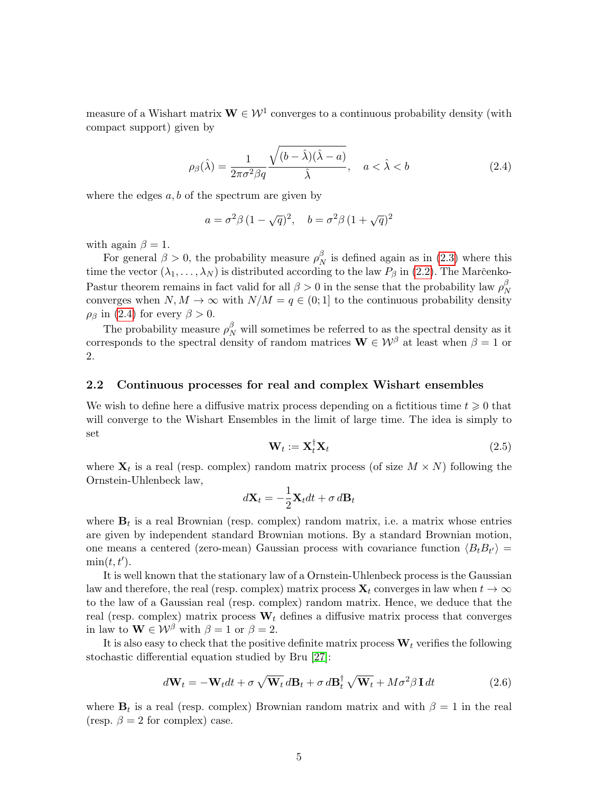measure of a Wishart matrix  $\mathbf{W} \in \mathcal{W}^1$  converges to a continuous probability density (with compact support) given by

<span id="page-4-0"></span>
$$
\rho_{\beta}(\hat{\lambda}) = \frac{1}{2\pi\sigma^2\beta q} \frac{\sqrt{(b-\hat{\lambda})(\hat{\lambda}-a)}}{\hat{\lambda}}, \quad a < \hat{\lambda} < b \tag{2.4}
$$

where the edges  $a, b$  of the spectrum are given by

$$
a = \sigma^2 \beta (1 - \sqrt{q})^2
$$
,  $b = \sigma^2 \beta (1 + \sqrt{q})^2$ 

with again  $\beta = 1$ .

For general  $\beta > 0$ , the probability measure  $\rho_{\Lambda}^{\beta}$  $N \n$  is defined again as in [\(2.3\)](#page-3-2) where this time the vector  $(\lambda_1, \ldots, \lambda_N)$  is distributed according to the law  $P_\beta$  in [\(2.2\)](#page-3-1). The Marc̆enko-Pastur theorem remains in fact valid for all  $\beta > 0$  in the sense that the probability law  $\rho_N^{\beta}$ N converges when  $N, M \to \infty$  with  $N/M = q \in (0, 1]$  to the continuous probability density  $\rho_\beta$  in [\(2.4\)](#page-4-0) for every  $\beta > 0$ .

The probability measure  $\rho_N^{\beta}$  will sometimes be referred to as the spectral density as it corresponds to the spectral density of random matrices  $\mathbf{W} \in \mathcal{W}^{\beta}$  at least when  $\beta = 1$  or 2.

#### 2.2 Continuous processes for real and complex Wishart ensembles

We wish to define here a diffusive matrix process depending on a fictitious time  $t \geq 0$  that will converge to the Wishart Ensembles in the limit of large time. The idea is simply to set

$$
\mathbf{W}_t := \mathbf{X}_t^\dagger \mathbf{X}_t \tag{2.5}
$$

where  $\mathbf{X}_t$  is a real (resp. complex) random matrix process (of size  $M \times N$ ) following the Ornstein-Uhlenbeck law,

$$
d\mathbf{X}_t = -\frac{1}{2}\mathbf{X}_t dt + \sigma \, d\mathbf{B}_t
$$

where  $\mathbf{B}_t$  is a real Brownian (resp. complex) random matrix, i.e. a matrix whose entries are given by independent standard Brownian motions. By a standard Brownian motion, one means a centered (zero-mean) Gaussian process with covariance function  $\langle B_t B_{t'} \rangle =$  $min(t, t').$ 

It is well known that the stationary law of a Ornstein-Uhlenbeck process is the Gaussian law and therefore, the real (resp. complex) matrix process  $\mathbf{X}_t$  converges in law when  $t \to \infty$ to the law of a Gaussian real (resp. complex) random matrix. Hence, we deduce that the real (resp. complex) matrix process  $W_t$  defines a diffusive matrix process that converges in law to  $\mathbf{W} \in \mathcal{W}^{\beta}$  with  $\beta = 1$  or  $\beta = 2$ .

It is also easy to check that the positive definite matrix process  $W_t$  verifies the following stochastic differential equation studied by Bru [\[27\]](#page-24-23):

$$
d\mathbf{W}_t = -\mathbf{W}_t dt + \sigma \sqrt{\mathbf{W}_t} d\mathbf{B}_t + \sigma d\mathbf{B}_t^{\dagger} \sqrt{\mathbf{W}_t} + M\sigma^2 \beta \mathbf{I} dt
$$
 (2.6)

where  $\mathbf{B}_t$  is a real (resp. complex) Brownian random matrix and with  $\beta = 1$  in the real (resp.  $\beta = 2$  for complex) case.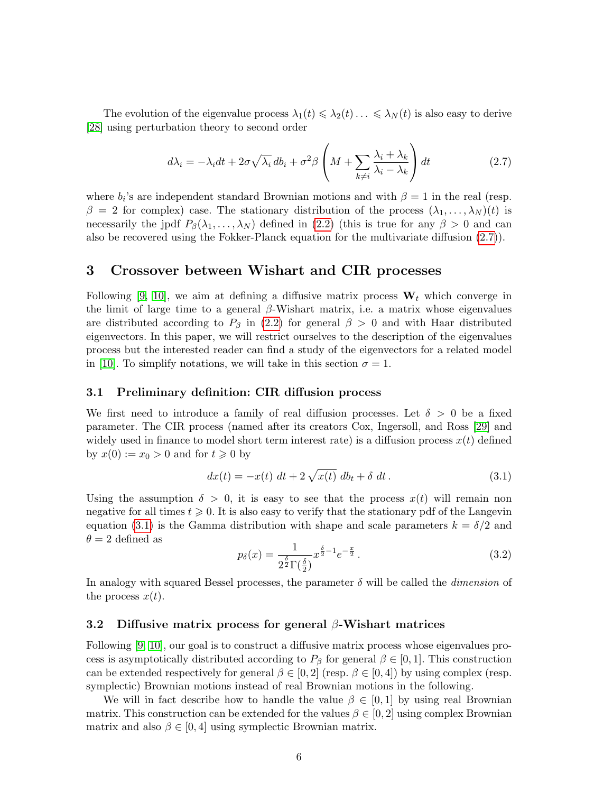The evolution of the eigenvalue process  $\lambda_1(t) \leq \lambda_2(t) \ldots \leq \lambda_N(t)$  is also easy to derive [\[28\]](#page-24-24) using perturbation theory to second order

<span id="page-5-1"></span>
$$
d\lambda_i = -\lambda_i dt + 2\sigma \sqrt{\lambda_i} db_i + \sigma^2 \beta \left( M + \sum_{k \neq i} \frac{\lambda_i + \lambda_k}{\lambda_i - \lambda_k} \right) dt \tag{2.7}
$$

where  $b_i$ 's are independent standard Brownian motions and with  $\beta = 1$  in the real (resp.  $\beta = 2$  for complex) case. The stationary distribution of the process  $(\lambda_1, \ldots, \lambda_N)(t)$  is necessarily the jpdf  $P_\beta(\lambda_1,\ldots,\lambda_N)$  defined in [\(2.2\)](#page-3-1) (this is true for any  $\beta > 0$  and can also be recovered using the Fokker-Planck equation for the multivariate diffusion [\(2.7\)](#page-5-1)).

### <span id="page-5-0"></span>3 Crossover between Wishart and CIR processes

Following [\[9,](#page-24-5) [10\]](#page-24-6), we aim at defining a diffusive matrix process  $W_t$  which converge in the limit of large time to a general  $\beta$ -Wishart matrix, i.e. a matrix whose eigenvalues are distributed according to  $P_\beta$  in [\(2.2\)](#page-3-1) for general  $\beta > 0$  and with Haar distributed eigenvectors. In this paper, we will restrict ourselves to the description of the eigenvalues process but the interested reader can find a study of the eigenvectors for a related model in [\[10\]](#page-24-6). To simplify notations, we will take in this section  $\sigma = 1$ .

#### <span id="page-5-3"></span>3.1 Preliminary definition: CIR diffusion process

We first need to introduce a family of real diffusion processes. Let  $\delta > 0$  be a fixed parameter. The CIR process (named after its creators Cox, Ingersoll, and Ross [\[29\]](#page-25-0) and widely used in finance to model short term interest rate) is a diffusion process  $x(t)$  defined by  $x(0) := x_0 > 0$  and for  $t \geq 0$  by

<span id="page-5-2"></span>
$$
dx(t) = -x(t) \, dt + 2 \sqrt{x(t)} \, db_t + \delta \, dt \,. \tag{3.1}
$$

Using the assumption  $\delta > 0$ , it is easy to see that the process  $x(t)$  will remain non negative for all times  $t \geq 0$ . It is also easy to verify that the stationary pdf of the Langevin equation [\(3.1\)](#page-5-2) is the Gamma distribution with shape and scale parameters  $k = \delta/2$  and  $\theta = 2$  defined as

<span id="page-5-5"></span>
$$
p_{\delta}(x) = \frac{1}{2^{\frac{\delta}{2}} \Gamma(\frac{\delta}{2})} x^{\frac{\delta}{2} - 1} e^{-\frac{x}{2}}.
$$
 (3.2)

In analogy with squared Bessel processes, the parameter  $\delta$  will be called the *dimension* of the process  $x(t)$ .

#### <span id="page-5-4"></span>3.2 Diffusive matrix process for general  $\beta$ -Wishart matrices

Following [\[9,](#page-24-5) [10\]](#page-24-6), our goal is to construct a diffusive matrix process whose eigenvalues process is asymptotically distributed according to  $P_\beta$  for general  $\beta \in [0,1]$ . This construction can be extended respectively for general  $\beta \in [0,2]$  (resp.  $\beta \in [0,4]$ ) by using complex (resp. symplectic) Brownian motions instead of real Brownian motions in the following.

We will in fact describe how to handle the value  $\beta \in [0,1]$  by using real Brownian matrix. This construction can be extended for the values  $\beta \in [0, 2]$  using complex Brownian matrix and also  $\beta \in [0, 4]$  using symplectic Brownian matrix.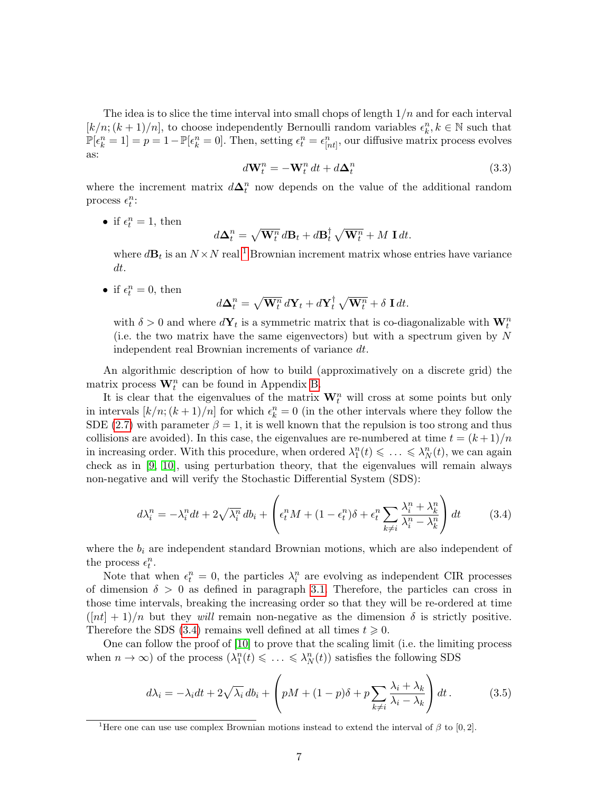The idea is to slice the time interval into small chops of length  $1/n$  and for each interval  $[k/n; (k+1)/n]$ , to choose independently Bernoulli random variables  $\epsilon_k^n, k \in \mathbb{N}$  such that  $\mathbb{P}[\epsilon_k^n = 1] = p = 1 - \mathbb{P}[\epsilon_k^n = 0].$  Then, setting  $\epsilon_t^n = \epsilon_{[nt]}^n$ , our diffusive matrix process evolves as:

<span id="page-6-3"></span>
$$
d\mathbf{W}_t^n = -\mathbf{W}_t^n dt + d\mathbf{\Delta}_t^n \tag{3.3}
$$

where the increment matrix  $d\Delta_t^n$  now depends on the value of the additional random process  $\epsilon_t^n$ :

• if  $\epsilon_t^n = 1$ , then

$$
d\Delta_t^n = \sqrt{\mathbf{W}_t^n} \, d\mathbf{B}_t + d\mathbf{B}_t^{\dagger} \sqrt{\mathbf{W}_t^n} + M \, \mathbf{I} \, dt.
$$

where  $d\mathbf{B}_t$  is an  $N \times N$  real <sup>[1](#page-6-0)</sup> Brownian increment matrix whose entries have variance dt.

• if  $\epsilon_t^n = 0$ , then

$$
d\Delta_t^n = \sqrt{\mathbf{W}_t^n} \, d\mathbf{Y}_t + d\mathbf{Y}_t^\dagger \sqrt{\mathbf{W}_t^n} + \delta \mathbf{I} \, dt.
$$

with  $\delta > 0$  and where  $d\mathbf{Y}_t$  is a symmetric matrix that is co-diagonalizable with  $\mathbf{W}_t^n$ (i.e. the two matrix have the same eigenvectors) but with a spectrum given by  $N$ independent real Brownian increments of variance dt.

An algorithmic description of how to build (approximatively on a discrete grid) the matrix process  $\mathbf{W}_{t}^{n}$  can be found in Appendix [B.](#page-22-0)

It is clear that the eigenvalues of the matrix  $\mathbf{W}_{t}^{n}$  will cross at some points but only in intervals  $[k/n; (k+1)/n]$  for which  $\epsilon_k^n = 0$  (in the other intervals where they follow the SDE [\(2.7\)](#page-5-1) with parameter  $\beta = 1$ , it is well known that the repulsion is too strong and thus collisions are avoided). In this case, the eigenvalues are re-numbered at time  $t = (k+1)/n$ in increasing order. With this procedure, when ordered  $\lambda_1^n(t) \leq \ldots \leq \lambda_N^n(t)$ , we can again check as in [\[9,](#page-24-5) [10\]](#page-24-6), using perturbation theory, that the eigenvalues will remain always non-negative and will verify the Stochastic Differential System (SDS):

<span id="page-6-1"></span>
$$
d\lambda_i^n = -\lambda_i^n dt + 2\sqrt{\lambda_i^n} db_i + \left(\epsilon_i^n M + (1 - \epsilon_i^n)\delta + \epsilon_i^n \sum_{k \neq i} \frac{\lambda_i^n + \lambda_k^n}{\lambda_i^n - \lambda_k^n}\right) dt \tag{3.4}
$$

where the  $b_i$  are independent standard Brownian motions, which are also independent of the process  $\epsilon_t^n$ .

Note that when  $\epsilon_t^n = 0$ , the particles  $\lambda_i^n$  are evolving as independent CIR processes of dimension  $\delta > 0$  as defined in paragraph [3.1.](#page-5-3) Therefore, the particles can cross in those time intervals, breaking the increasing order so that they will be re-ordered at time  $(\lceil nt \rceil + 1)/n$  but they will remain non-negative as the dimension  $\delta$  is strictly positive. Therefore the SDS [\(3.4\)](#page-6-1) remains well defined at all times  $t \geq 0$ .

One can follow the proof of [\[10\]](#page-24-6) to prove that the scaling limit (i.e. the limiting process when  $n \to \infty$ ) of the process  $(\lambda_1^n(t) \leq \ldots \leq \lambda_N^n(t))$  satisfies the following SDS

<span id="page-6-2"></span>
$$
d\lambda_i = -\lambda_i dt + 2\sqrt{\lambda_i} db_i + \left( pM + (1-p)\delta + p \sum_{k \neq i} \frac{\lambda_i + \lambda_k}{\lambda_i - \lambda_k} \right) dt. \tag{3.5}
$$

<span id="page-6-0"></span><sup>&</sup>lt;sup>1</sup>Here one can use use complex Brownian motions instead to extend the interval of  $\beta$  to [0, 2].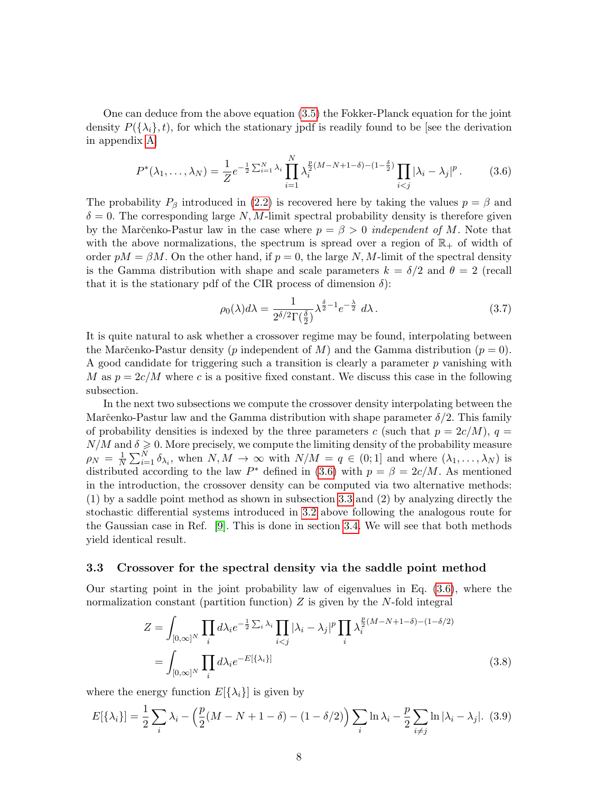One can deduce from the above equation [\(3.5\)](#page-6-2) the Fokker-Planck equation for the joint density  $P(\{\lambda_i\}, t)$ , for which the stationary jpdf is readily found to be [see the derivation in appendix [A\]](#page-22-1)

<span id="page-7-1"></span>
$$
P^*(\lambda_1, \dots, \lambda_N) = \frac{1}{Z} e^{-\frac{1}{2} \sum_{i=1}^N \lambda_i} \prod_{i=1}^N \lambda_i^{\frac{p}{2}(M-N+1-\delta)-(1-\frac{\delta}{2})} \prod_{i < j} |\lambda_i - \lambda_j|^p. \tag{3.6}
$$

The probability  $P_\beta$  introduced in [\(2.2\)](#page-3-1) is recovered here by taking the values  $p = \beta$  and  $\delta = 0$ . The corresponding large N, M-limit spectral probability density is therefore given by the Marčenko-Pastur law in the case where  $p = \beta > 0$  independent of M. Note that with the above normalizations, the spectrum is spread over a region of  $\mathbb{R}_+$  of width of order  $pM = \beta M$ . On the other hand, if  $p = 0$ , the large N, M-limit of the spectral density is the Gamma distribution with shape and scale parameters  $k = \delta/2$  and  $\theta = 2$  (recall that it is the stationary pdf of the CIR process of dimension  $\delta$ ):

$$
\rho_0(\lambda)d\lambda = \frac{1}{2^{\delta/2}\Gamma(\frac{\delta}{2})}\lambda^{\frac{\delta}{2}-1}e^{-\frac{\lambda}{2}}d\lambda.
$$
\n(3.7)

It is quite natural to ask whether a crossover regime may be found, interpolating between the Marčenko-Pastur density (p independent of M) and the Gamma distribution ( $p = 0$ ). A good candidate for triggering such a transition is clearly a parameter  $p$  vanishing with M as  $p = 2c/M$  where c is a positive fixed constant. We discuss this case in the following subsection.

In the next two subsections we compute the crossover density interpolating between the Marčenko-Pastur law and the Gamma distribution with shape parameter  $\delta/2$ . This family of probability densities is indexed by the three parameters c (such that  $p = 2c/M$ ),  $q =$  $N/M$  and  $\delta \geqslant 0$ . More precisely, we compute the limiting density of the probability measure  $\rho_N = \frac{1}{N}$  $\frac{1}{N}\sum_{i=1}^N \delta_{\lambda_i}$ , when  $N, M \to \infty$  with  $N/M = q \in (0,1]$  and where  $(\lambda_1, \ldots, \lambda_N)$  is distributed according to the law  $P^*$  defined in [\(3.6\)](#page-7-1) with  $p = \beta = 2c/M$ . As mentioned in the introduction, the crossover density can be computed via two alternative methods: (1) by a saddle point method as shown in subsection [3.3](#page-7-0) and (2) by analyzing directly the stochastic differential systems introduced in [3.2](#page-5-4) above following the analogous route for the Gaussian case in Ref. [\[9\]](#page-24-5). This is done in section [3.4.](#page-14-0) We will see that both methods yield identical result.

#### <span id="page-7-0"></span>3.3 Crossover for the spectral density via the saddle point method

Our starting point in the joint probability law of eigenvalues in Eq. [\(3.6\)](#page-7-1), where the normalization constant (partition function)  $Z$  is given by the  $N$ -fold integral

<span id="page-7-2"></span>
$$
Z = \int_{[0,\infty]^N} \prod_i d\lambda_i e^{-\frac{1}{2}\sum_i \lambda_i} \prod_{i  
= 
$$
\int_{[0,\infty]^N} \prod_i d\lambda_i e^{-E[\{\lambda_i\}]}\tag{3.8}
$$
$$

where the energy function  $E[\{\lambda_i\}]$  is given by

$$
E[\{\lambda_i\}] = \frac{1}{2} \sum_i \lambda_i - \left(\frac{p}{2}(M - N + 1 - \delta) - (1 - \delta/2)\right) \sum_i \ln \lambda_i - \frac{p}{2} \sum_{i \neq j} \ln |\lambda_i - \lambda_j|.
$$
 (3.9)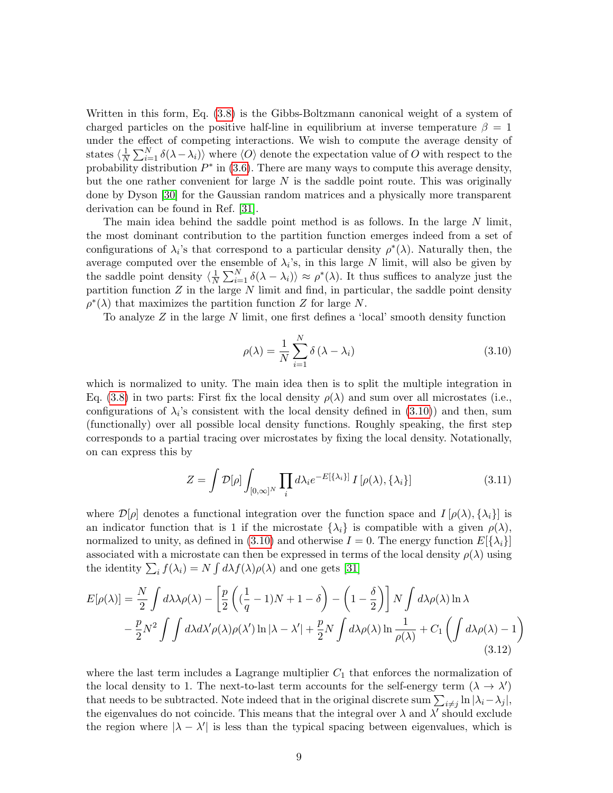Written in this form, Eq. [\(3.8\)](#page-7-2) is the Gibbs-Boltzmann canonical weight of a system of charged particles on the positive half-line in equilibrium at inverse temperature  $\beta = 1$ under the effect of competing interactions. We wish to compute the average density of states  $\langle \frac{1}{N} \rangle$  $\frac{1}{N} \sum_{i=1}^{N} \delta(\lambda - \lambda_i)$  where  $\langle O \rangle$  denote the expectation value of O with respect to the probability distribution  $P^*$  in [\(3.6\)](#page-7-1). There are many ways to compute this average density, but the one rather convenient for large  $N$  is the saddle point route. This was originally done by Dyson [\[30\]](#page-25-1) for the Gaussian random matrices and a physically more transparent derivation can be found in Ref. [\[31\]](#page-25-2).

The main idea behind the saddle point method is as follows. In the large  $N$  limit, the most dominant contribution to the partition function emerges indeed from a set of configurations of  $\lambda_i$ 's that correspond to a particular density  $\rho^*(\lambda)$ . Naturally then, the average computed over the ensemble of  $\lambda_i$ 's, in this large N limit, will also be given by the saddle point density  $\langle \frac{1}{N} \rangle$  $\frac{1}{N} \sum_{i=1}^{N} \delta(\lambda - \lambda_i) \rangle \approx \rho^*(\lambda)$ . It thus suffices to analyze just the partition function  $Z$  in the large  $N$  limit and find, in particular, the saddle point density  $\rho^*(\lambda)$  that maximizes the partition function Z for large N.

To analyze Z in the large N limit, one first defines a 'local' smooth density function

<span id="page-8-0"></span>
$$
\rho(\lambda) = \frac{1}{N} \sum_{i=1}^{N} \delta(\lambda - \lambda_i)
$$
\n(3.10)

which is normalized to unity. The main idea then is to split the multiple integration in Eq. [\(3.8\)](#page-7-2) in two parts: First fix the local density  $\rho(\lambda)$  and sum over all microstates (i.e., configurations of  $\lambda_i$ 's consistent with the local density defined in [\(3.10\)](#page-8-0)) and then, sum (functionally) over all possible local density functions. Roughly speaking, the first step corresponds to a partial tracing over microstates by fixing the local density. Notationally, on can express this by

<span id="page-8-1"></span>
$$
Z = \int \mathcal{D}[\rho] \int_{[0,\infty]^N} \prod_i d\lambda_i e^{-E[\{\lambda_i\}]} I[\rho(\lambda), \{\lambda_i\}] \tag{3.11}
$$

where  $\mathcal{D}[\rho]$  denotes a functional integration over the function space and  $I[\rho(\lambda), \{\lambda_i\}]$  is an indicator function that is 1 if the microstate  $\{\lambda_i\}$  is compatible with a given  $\rho(\lambda)$ , normalized to unity, as defined in [\(3.10\)](#page-8-0) and otherwise  $I = 0$ . The energy function  $E[\{\lambda_i\}]$ associated with a microstate can then be expressed in terms of the local density  $\rho(\lambda)$  using the identity  $\sum_i f(\lambda_i) = N \int d\lambda f(\lambda) \rho(\lambda)$  and one gets [\[31\]](#page-25-2)

$$
E[\rho(\lambda)] = \frac{N}{2} \int d\lambda \lambda \rho(\lambda) - \left[ \frac{p}{2} \left( (\frac{1}{q} - 1)N + 1 - \delta \right) - \left( 1 - \frac{\delta}{2} \right) \right] N \int d\lambda \rho(\lambda) \ln \lambda
$$
  

$$
- \frac{p}{2} N^2 \int \int d\lambda d\lambda' \rho(\lambda) \rho(\lambda') \ln |\lambda - \lambda'| + \frac{p}{2} N \int d\lambda \rho(\lambda) \ln \frac{1}{\rho(\lambda)} + C_1 \left( \int d\lambda \rho(\lambda) - 1 \right)
$$
(3.12)

where the last term includes a Lagrange multiplier  $C_1$  that enforces the normalization of the local density to 1. The next-to-last term accounts for the self-energy term  $(\lambda \to \lambda')$ that needs to be subtracted. Note indeed that in the original discrete sum  $\sum_{i\neq j} \ln |\lambda_i - \lambda_j|$ , the eigenvalues do not coincide. This means that the integral over  $\lambda$  and  $\lambda'$  should exclude the region where  $|\lambda - \lambda'|$  is less than the typical spacing between eigenvalues, which is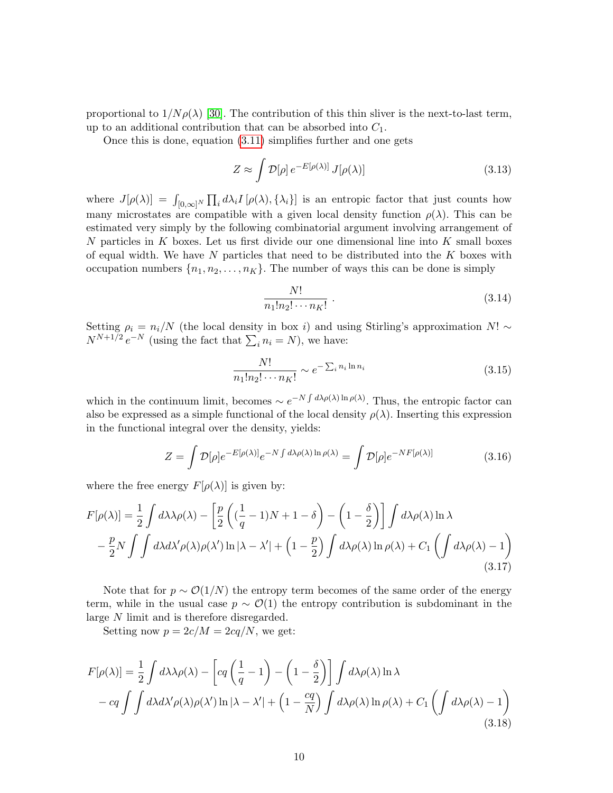proportional to  $1/N \rho(\lambda)$  [\[30\]](#page-25-1). The contribution of this thin sliver is the next-to-last term, up to an additional contribution that can be absorbed into  $C_1$ .

Once this is done, equation [\(3.11\)](#page-8-1) simplifies further and one gets

$$
Z \approx \int \mathcal{D}[\rho] \, e^{-E[\rho(\lambda)]} \, J[\rho(\lambda)] \tag{3.13}
$$

where  $J[\rho(\lambda)] = \int_{[0,\infty]^N} \prod_i d\lambda_i I[\rho(\lambda), \{\lambda_i\}]$  is an entropic factor that just counts how many microstates are compatible with a given local density function  $\rho(\lambda)$ . This can be estimated very simply by the following combinatorial argument involving arrangement of N particles in K boxes. Let us first divide our one dimensional line into K small boxes of equal width. We have  $N$  particles that need to be distributed into the  $K$  boxes with occupation numbers  $\{n_1, n_2, \ldots, n_K\}$ . The number of ways this can be done is simply

$$
\frac{N!}{n_1!n_2!\cdots n_K!} \ . \tag{3.14}
$$

Setting  $\rho_i = n_i/N$  (the local density in box i) and using Stirling's approximation N! ∼  $N^{N+1/2} e^{-N}$  (using the fact that  $\sum_i n_i = N$ ), we have:

$$
\frac{N!}{n_1!n_2!\cdots n_K!} \sim e^{-\sum_i n_i \ln n_i} \tag{3.15}
$$

which in the continuum limit, becomes  $\sim e^{-N \int d\lambda \rho(\lambda) \ln \rho(\lambda)}$ . Thus, the entropic factor can also be expressed as a simple functional of the local density  $\rho(\lambda)$ . Inserting this expression in the functional integral over the density, yields:

$$
Z = \int \mathcal{D}[\rho] e^{-E[\rho(\lambda)]} e^{-N \int d\lambda \rho(\lambda) \ln \rho(\lambda)} = \int \mathcal{D}[\rho] e^{-N F[\rho(\lambda)]}
$$
(3.16)

where the free energy  $F[\rho(\lambda)]$  is given by:

$$
F[\rho(\lambda)] = \frac{1}{2} \int d\lambda \lambda \rho(\lambda) - \left[ \frac{p}{2} \left( (\frac{1}{q} - 1)N + 1 - \delta \right) - \left( 1 - \frac{\delta}{2} \right) \right] \int d\lambda \rho(\lambda) \ln \lambda
$$

$$
- \frac{p}{2} N \int \int d\lambda d\lambda' \rho(\lambda) \rho(\lambda') \ln |\lambda - \lambda'| + \left( 1 - \frac{p}{2} \right) \int d\lambda \rho(\lambda) \ln \rho(\lambda) + C_1 \left( \int d\lambda \rho(\lambda) - 1 \right)
$$
(3.17)

Note that for  $p \sim \mathcal{O}(1/N)$  the entropy term becomes of the same order of the energy term, while in the usual case  $p \sim \mathcal{O}(1)$  the entropy contribution is subdominant in the large N limit and is therefore disregarded.

Setting now  $p = 2c/M = 2cq/N$ , we get:

$$
F[\rho(\lambda)] = \frac{1}{2} \int d\lambda \lambda \rho(\lambda) - \left[ cq\left(\frac{1}{q} - 1\right) - \left(1 - \frac{\delta}{2}\right) \right] \int d\lambda \rho(\lambda) \ln \lambda
$$
  
-  $cq \int \int d\lambda d\lambda' \rho(\lambda) \rho(\lambda') \ln |\lambda - \lambda'| + \left(1 - \frac{cq}{N}\right) \int d\lambda \rho(\lambda) \ln \rho(\lambda) + C_1 \left(\int d\lambda \rho(\lambda) - 1\right)$   
(3.18)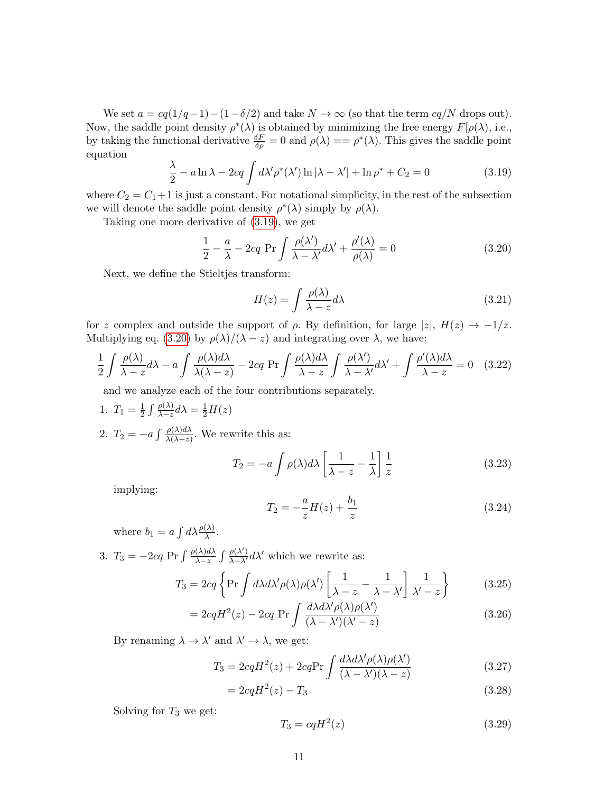We set  $a = cq(1/q-1) - (1-δ/2)$  and take  $N \to \infty$  (so that the term  $cq/N$  drops out). Now, the saddle point density  $\rho^*(\lambda)$  is obtained by minimizing the free energy  $F[\rho(\lambda), i.e.,$ by taking the functional derivative  $\frac{\delta F}{\delta \rho} = 0$  and  $\rho(\lambda) = \rho^*(\lambda)$ . This gives the saddle point equation

<span id="page-10-0"></span>
$$
\frac{\lambda}{2} - a \ln \lambda - 2cq \int d\lambda' \rho^*(\lambda') \ln |\lambda - \lambda'| + \ln \rho^* + C_2 = 0 \tag{3.19}
$$

where  $C_2 = C_1 + 1$  is just a constant. For notational simplicity, in the rest of the subsection we will denote the saddle point density  $\rho^*(\lambda)$  simply by  $\rho(\lambda)$ .

Taking one more derivative of [\(3.19\)](#page-10-0), we get

<span id="page-10-1"></span>
$$
\frac{1}{2} - \frac{a}{\lambda} - 2cq \ \Pr \int \frac{\rho(\lambda')}{\lambda - \lambda'} d\lambda' + \frac{\rho'(\lambda)}{\rho(\lambda)} = 0
$$
\n(3.20)

Next, we define the Stieltjes transform:

$$
H(z) = \int \frac{\rho(\lambda)}{\lambda - z} d\lambda \tag{3.21}
$$

for z complex and outside the support of  $\rho$ . By definition, for large  $|z|, H(z) \rightarrow -1/z$ . Multiplying eq. [\(3.20\)](#page-10-1) by  $\rho(\lambda)/(\lambda - z)$  and integrating over  $\lambda$ , we have:

$$
\frac{1}{2} \int \frac{\rho(\lambda)}{\lambda - z} d\lambda - a \int \frac{\rho(\lambda) d\lambda}{\lambda(\lambda - z)} - 2cq \Pr \int \frac{\rho(\lambda) d\lambda}{\lambda - z} \int \frac{\rho(\lambda')}{\lambda - \lambda'} d\lambda' + \int \frac{\rho'(\lambda) d\lambda}{\lambda - z} = 0 \quad (3.22)
$$

and we analyze each of the four contributions separately.

- 1.  $T_1 = \frac{1}{2}$  $\frac{1}{2}\int\frac{\rho(\lambda)}{\lambda-z}d\lambda=\frac{1}{2}H(z)$
- 2.  $T_2 = -a \int \frac{\rho(\lambda) d\lambda}{\lambda(\lambda z)}$ . We rewrite this as:

$$
T_2 = -a \int \rho(\lambda) d\lambda \left[ \frac{1}{\lambda - z} - \frac{1}{\lambda} \right] \frac{1}{z}
$$
 (3.23)

implying:

$$
T_2 = -\frac{a}{z}H(z) + \frac{b_1}{z}
$$
 (3.24)

where  $b_1 = a \int d\lambda \frac{\rho(\lambda)}{\lambda}$ .

3.  $T_3 = -2cq \Pr \int \frac{\rho(\lambda)d\lambda}{\lambda-z} \int \frac{\rho(\lambda')}{\lambda-\lambda'} d\lambda'$  which we rewrite as:

$$
T_3 = 2cq \left\{ \Pr \int d\lambda d\lambda' \rho(\lambda) \rho(\lambda') \left[ \frac{1}{\lambda - z} - \frac{1}{\lambda - \lambda'} \right] \frac{1}{\lambda' - z} \right\}
$$
(3.25)

$$
= 2cqH^{2}(z) - 2cq \Pr \int \frac{d\lambda d\lambda' \rho(\lambda)\rho(\lambda')}{(\lambda - \lambda')(\lambda' - z)}
$$
(3.26)

By renaming  $\lambda \to \lambda'$  and  $\lambda' \to \lambda$ , we get:

$$
T_3 = 2cqH^2(z) + 2cq\text{Pr}\int \frac{d\lambda d\lambda' \rho(\lambda)\rho(\lambda')}{(\lambda - \lambda')(\lambda - z)}
$$
(3.27)

$$
=2cqH^2(z) - T_3 \tag{3.28}
$$

Solving for  $T_3$  we get:

$$
T_3 = cqH^2(z) \tag{3.29}
$$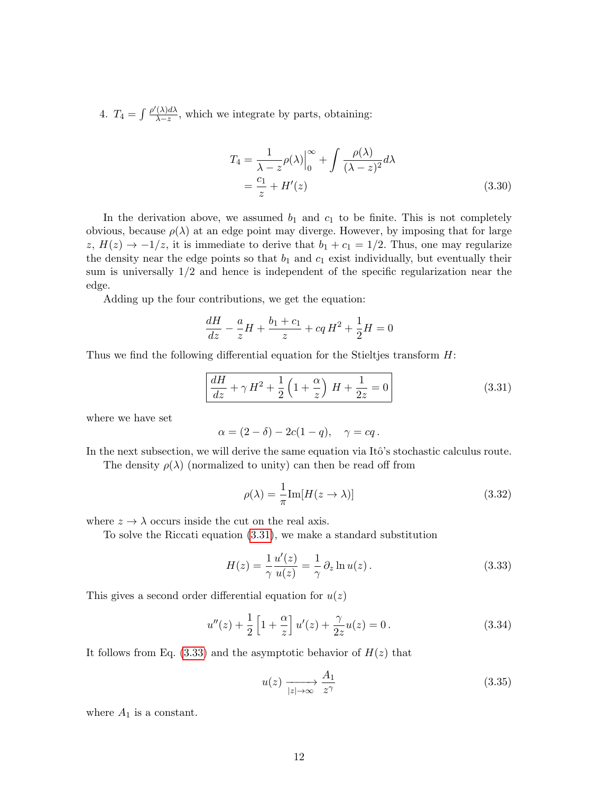4.  $T_4 = \int \frac{\rho'(\lambda)d\lambda}{\lambda - z}$  $\frac{(\lambda)a\lambda}{\lambda-z}$ , which we integrate by parts, obtaining:

$$
T_4 = \frac{1}{\lambda - z} \rho(\lambda) \Big|_0^{\infty} + \int \frac{\rho(\lambda)}{(\lambda - z)^2} d\lambda
$$
  
=  $\frac{c_1}{z} + H'(z)$  (3.30)

In the derivation above, we assumed  $b_1$  and  $c_1$  to be finite. This is not completely obvious, because  $\rho(\lambda)$  at an edge point may diverge. However, by imposing that for large z,  $H(z) \rightarrow -1/z$ , it is immediate to derive that  $b_1 + c_1 = 1/2$ . Thus, one may regularize the density near the edge points so that  $b_1$  and  $c_1$  exist individually, but eventually their sum is universally 1/2 and hence is independent of the specific regularization near the edge.

Adding up the four contributions, we get the equation:

$$
\frac{dH}{dz} - \frac{a}{z}H + \frac{b_1 + c_1}{z} + cqH^2 + \frac{1}{2}H = 0
$$

Thus we find the following differential equation for the Stieltjes transform  $H$ :

<span id="page-11-0"></span>
$$
\frac{dH}{dz} + \gamma H^2 + \frac{1}{2} \left( 1 + \frac{\alpha}{z} \right) H + \frac{1}{2z} = 0
$$
\n(3.31)

where we have set

$$
\alpha = (2 - \delta) - 2c(1 - q), \quad \gamma = cq.
$$

In the next subsection, we will derive the same equation via Itô's stochastic calculus route.

The density  $\rho(\lambda)$  (normalized to unity) can then be read off from

<span id="page-11-4"></span>
$$
\rho(\lambda) = \frac{1}{\pi} \text{Im}[H(z \to \lambda)] \tag{3.32}
$$

where  $z \to \lambda$  occurs inside the cut on the real axis.

To solve the Riccati equation [\(3.31\)](#page-11-0), we make a standard substitution

<span id="page-11-1"></span>
$$
H(z) = \frac{1}{\gamma} \frac{u'(z)}{u(z)} = \frac{1}{\gamma} \partial_z \ln u(z).
$$
 (3.33)

This gives a second order differential equation for  $u(z)$ 

<span id="page-11-2"></span>
$$
u''(z) + \frac{1}{2} \left[ 1 + \frac{\alpha}{z} \right] u'(z) + \frac{\gamma}{2z} u(z) = 0.
$$
 (3.34)

It follows from Eq.  $(3.33)$  and the asymptotic behavior of  $H(z)$  that

<span id="page-11-3"></span>
$$
u(z) \xrightarrow[|z| \to \infty]{} \frac{A_1}{z^{\gamma}}
$$
\n(3.35)

where  $A_1$  is a constant.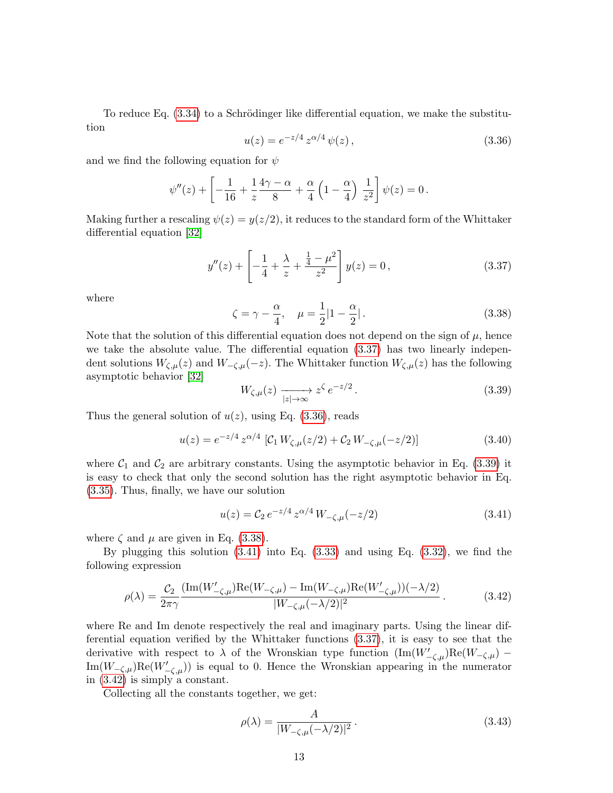To reduce Eq.  $(3.34)$  to a Schrödinger like differential equation, we make the substitution

<span id="page-12-1"></span>
$$
u(z) = e^{-z/4} z^{\alpha/4} \psi(z), \qquad (3.36)
$$

and we find the following equation for  $\psi$ 

$$
\psi''(z) + \left[ -\frac{1}{16} + \frac{1}{z} \frac{4\gamma - \alpha}{8} + \frac{\alpha}{4} \left( 1 - \frac{\alpha}{4} \right) \frac{1}{z^2} \right] \psi(z) = 0 \, .
$$

Making further a rescaling  $\psi(z) = y(z/2)$ , it reduces to the standard form of the Whittaker differential equation [\[32\]](#page-25-3)

<span id="page-12-0"></span>
$$
y''(z) + \left[ -\frac{1}{4} + \frac{\lambda}{z} + \frac{\frac{1}{4} - \mu^2}{z^2} \right] y(z) = 0, \qquad (3.37)
$$

where

<span id="page-12-3"></span>
$$
\zeta = \gamma - \frac{\alpha}{4}, \quad \mu = \frac{1}{2}|1 - \frac{\alpha}{2}|. \tag{3.38}
$$

Note that the solution of this differential equation does not depend on the sign of  $\mu$ , hence we take the absolute value. The differential equation [\(3.37\)](#page-12-0) has two linearly independent solutions  $W_{\zeta,\mu}(z)$  and  $W_{-\zeta,\mu}(-z)$ . The Whittaker function  $W_{\zeta,\mu}(z)$  has the following asymptotic behavior [\[32\]](#page-25-3)

<span id="page-12-2"></span>
$$
W_{\zeta,\mu}(z) \xrightarrow[|z| \to \infty]{} z^{\zeta} e^{-z/2}.
$$
\n(3.39)

Thus the general solution of  $u(z)$ , using Eq. [\(3.36\)](#page-12-1), reads

$$
u(z) = e^{-z/4} z^{\alpha/4} \left[ C_1 W_{\zeta,\mu}(z/2) + C_2 W_{-\zeta,\mu}(-z/2) \right]
$$
 (3.40)

where  $C_1$  and  $C_2$  are arbitrary constants. Using the asymptotic behavior in Eq. [\(3.39\)](#page-12-2) it is easy to check that only the second solution has the right asymptotic behavior in Eq. [\(3.35\)](#page-11-3). Thus, finally, we have our solution

<span id="page-12-4"></span>
$$
u(z) = C_2 e^{-z/4} z^{\alpha/4} W_{-\zeta,\mu}(-z/2)
$$
 (3.41)

where  $\zeta$  and  $\mu$  are given in Eq. [\(3.38\)](#page-12-3).

By plugging this solution  $(3.41)$  into Eq.  $(3.33)$  and using Eq.  $(3.32)$ , we find the following expression

<span id="page-12-5"></span>
$$
\rho(\lambda) = \frac{\mathcal{C}_2}{2\pi\gamma} \frac{(\text{Im}(W'_{-\zeta,\mu})\text{Re}(W_{-\zeta,\mu}) - \text{Im}(W_{-\zeta,\mu})\text{Re}(W'_{-\zeta,\mu}))(-\lambda/2)}{|W_{-\zeta,\mu}(-\lambda/2)|^2}.
$$
\n(3.42)

where Re and Im denote respectively the real and imaginary parts. Using the linear differential equation verified by the Whittaker functions [\(3.37\)](#page-12-0), it is easy to see that the derivative with respect to  $\lambda$  of the Wronskian type function  $(\text{Im}(W'_{-\zeta,\mu})\text{Re}(W_{-\zeta,\mu})$  $\text{Im}(W_{-\zeta,\mu})\text{Re}(W'_{-\zeta,\mu})$  is equal to 0. Hence the Wronskian appearing in the numerator in [\(3.42\)](#page-12-5) is simply a constant.

Collecting all the constants together, we get:

$$
\rho(\lambda) = \frac{A}{|W_{-\zeta,\mu}(-\lambda/2)|^2} \,. \tag{3.43}
$$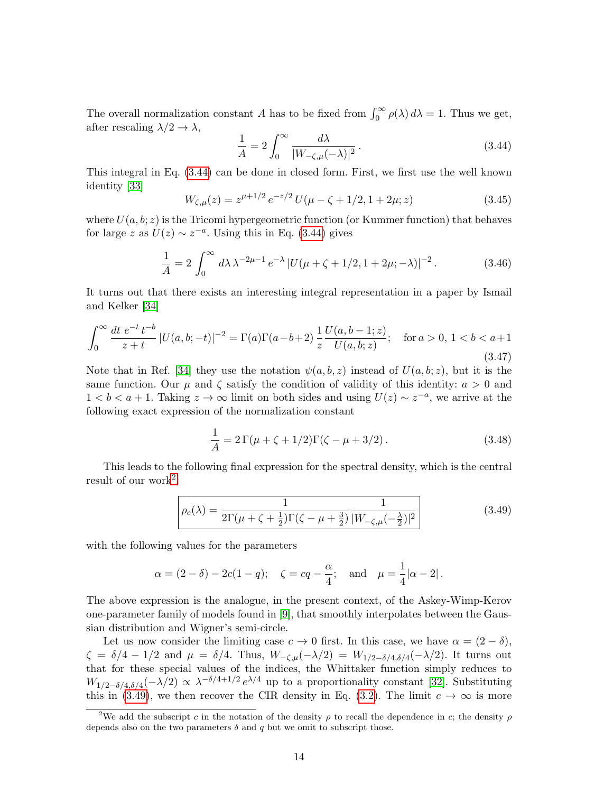The overall normalization constant A has to be fixed from  $\int_0^\infty \rho(\lambda) d\lambda = 1$ . Thus we get, after rescaling  $\lambda/2 \rightarrow \lambda$ ,

<span id="page-13-1"></span>
$$
\frac{1}{A} = 2 \int_0^\infty \frac{d\lambda}{|W_{-\zeta,\mu}(-\lambda)|^2} \,. \tag{3.44}
$$

This integral in Eq. [\(3.44\)](#page-13-1) can be done in closed form. First, we first use the well known identity [\[33\]](#page-25-4)

$$
W_{\zeta,\mu}(z) = z^{\mu+1/2} e^{-z/2} U(\mu - \zeta + 1/2, 1 + 2\mu; z)
$$
 (3.45)

where  $U(a, b; z)$  is the Tricomi hypergeometric function (or Kummer function) that behaves for large z as  $U(z) \sim z^{-a}$ . Using this in Eq. [\(3.44\)](#page-13-1) gives

$$
\frac{1}{A} = 2 \int_0^\infty d\lambda \,\lambda^{-2\mu - 1} \, e^{-\lambda} \, |U(\mu + \zeta + 1/2, 1 + 2\mu; -\lambda)|^{-2} \,. \tag{3.46}
$$

It turns out that there exists an interesting integral representation in a paper by Ismail and Kelker [\[34\]](#page-25-5)

$$
\int_0^\infty \frac{dt \ e^{-t} t^{-b}}{z+t} |U(a, b; -t)|^{-2} = \Gamma(a)\Gamma(a-b+2) \frac{1}{z} \frac{U(a, b-1; z)}{U(a, b; z)}; \quad \text{for } a > 0, \ 1 < b < a+1
$$
\n(3.47)

Note that in Ref. [\[34\]](#page-25-5) they use the notation  $\psi(a, b, z)$  instead of  $U(a, b; z)$ , but it is the same function. Our  $\mu$  and  $\zeta$  satisfy the condition of validity of this identity:  $a > 0$  and 1 < b < a + 1. Taking  $z \to \infty$  limit on both sides and using  $U(z) \sim z^{-a}$ , we arrive at the following exact expression of the normalization constant

$$
\frac{1}{A} = 2\,\Gamma(\mu + \zeta + 1/2)\Gamma(\zeta - \mu + 3/2) \,. \tag{3.48}
$$

This leads to the following final expression for the spectral density, which is the central result of our work<sup>[2](#page-13-2)</sup>:

<span id="page-13-0"></span>
$$
\rho_c(\lambda) = \frac{1}{2\Gamma(\mu + \zeta + \frac{1}{2})\Gamma(\zeta - \mu + \frac{3}{2})} \frac{1}{|W_{-\zeta,\mu}(-\frac{\lambda}{2})|^2}
$$
(3.49)

with the following values for the parameters

$$
\alpha = (2 - \delta) - 2c(1 - q);
$$
  $\zeta = cq - \frac{\alpha}{4};$  and  $\mu = \frac{1}{4} |\alpha - 2|.$ 

The above expression is the analogue, in the present context, of the Askey-Wimp-Kerov one-parameter family of models found in [\[9\]](#page-24-5), that smoothly interpolates between the Gaussian distribution and Wigner's semi-circle.

Let us now consider the limiting case  $c \to 0$  first. In this case, we have  $\alpha = (2 - \delta)$ ,  $\zeta = \delta/4 - 1/2$  and  $\mu = \delta/4$ . Thus,  $W_{-\zeta,\mu}(-\lambda/2) = W_{1/2-\delta/4,\delta/4}(-\lambda/2)$ . It turns out that for these special values of the indices, the Whittaker function simply reduces to  $W_{1/2-\delta/4,\delta/4}(-\lambda/2) \propto \lambda^{-\delta/4+1/2} e^{\lambda/4}$  up to a proportionality constant [\[32\]](#page-25-3). Substituting this in [\(3.49\)](#page-13-0), we then recover the CIR density in Eq. [\(3.2\)](#page-5-5). The limit  $c \to \infty$  is more

<span id="page-13-2"></span><sup>&</sup>lt;sup>2</sup>We add the subscript c in the notation of the density  $\rho$  to recall the dependence in c; the density  $\rho$ depends also on the two parameters  $\delta$  and  $q$  but we omit to subscript those.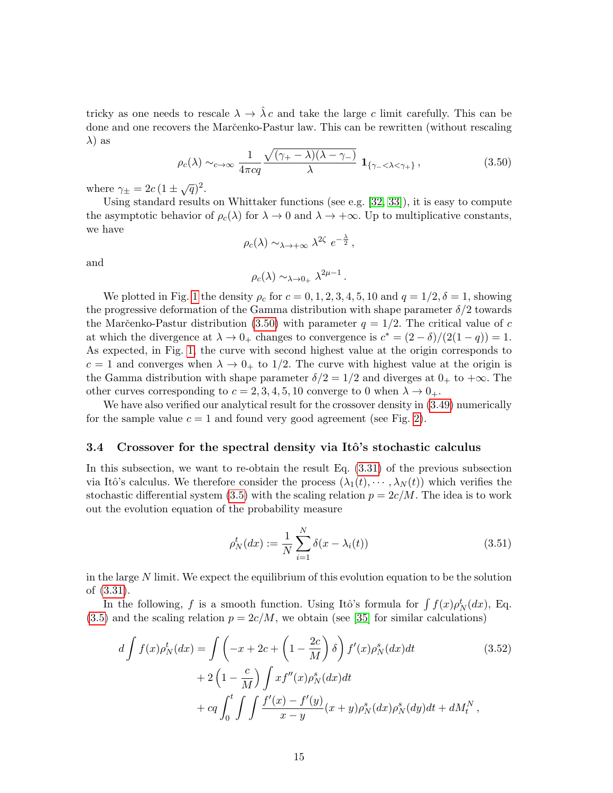tricky as one needs to rescale  $\lambda \to \hat{\lambda} c$  and take the large c limit carefully. This can be done and one recovers the Marc̆enko-Pastur law. This can be rewritten (without rescaling  $\lambda$ ) as

<span id="page-14-1"></span>
$$
\rho_c(\lambda) \sim_{c \to \infty} \frac{1}{4\pi c q} \frac{\sqrt{(\gamma_+ - \lambda)(\lambda - \gamma_-)}}{\lambda} \mathbf{1}_{\{\gamma_- < \lambda < \gamma_+\}},\tag{3.50}
$$

where  $\gamma_{\pm} = 2c (1 \pm \sqrt{q})^2$ .

Using standard results on Whittaker functions (see e.g. [\[32,](#page-25-3) [33\]](#page-25-4)), it is easy to compute the asymptotic behavior of  $\rho_c(\lambda)$  for  $\lambda \to 0$  and  $\lambda \to +\infty$ . Up to multiplicative constants, we have

$$
\rho_c(\lambda) \sim_{\lambda \to +\infty} \lambda^{2\zeta} e^{-\frac{\lambda}{2}},
$$

and

$$
\rho_c(\lambda) \sim_{\lambda \to 0_+} \lambda^{2\mu - 1}.
$$

We plotted in Fig. [1](#page-15-0) the density  $\rho_c$  for  $c = 0, 1, 2, 3, 4, 5, 10$  and  $q = 1/2, \delta = 1$ , showing the progressive deformation of the Gamma distribution with shape parameter  $\delta/2$  towards the Marc̆enko-Pastur distribution [\(3.50\)](#page-14-1) with parameter  $q = 1/2$ . The critical value of c at which the divergence at  $\lambda \to 0_+$  changes to convergence is  $c^* = (2 - \delta)/(2(1 - q)) = 1$ . As expected, in Fig. [1,](#page-15-0) the curve with second highest value at the origin corresponds to  $c = 1$  and converges when  $\lambda \to 0_+$  to 1/2. The curve with highest value at the origin is the Gamma distribution with shape parameter  $\delta/2 = 1/2$  and diverges at  $0_+$  to  $+\infty$ . The other curves corresponding to  $c = 2, 3, 4, 5, 10$  converge to 0 when  $\lambda \to 0_+$ .

We have also verified our analytical result for the crossover density in  $(3.49)$  numerically for the sample value  $c = 1$  and found very good agreement (see Fig. [2\)](#page-16-0).

#### <span id="page-14-0"></span>3.4 Crossover for the spectral density via Itô's stochastic calculus

In this subsection, we want to re-obtain the result Eq. [\(3.31\)](#page-11-0) of the previous subsection via Itô's calculus. We therefore consider the process  $(\lambda_1(t), \dots, \lambda_N(t))$  which verifies the stochastic differential system [\(3.5\)](#page-6-2) with the scaling relation  $p = 2c/M$ . The idea is to work out the evolution equation of the probability measure

<span id="page-14-3"></span><span id="page-14-2"></span>
$$
\rho_N^t(dx) := \frac{1}{N} \sum_{i=1}^N \delta(x - \lambda_i(t))
$$
\n(3.51)

in the large  $N$  limit. We expect the equilibrium of this evolution equation to be the solution of [\(3.31\)](#page-11-0).

In the following, f is a smooth function. Using Itô's formula for  $\int f(x)\rho_N^t(dx)$ , Eq.  $(3.5)$  and the scaling relation  $p = 2c/M$ , we obtain (see [\[35\]](#page-25-6) for similar calculations)

$$
d\int f(x)\rho_N^t(dx) = \int \left(-x + 2c + \left(1 - \frac{2c}{M}\right)\delta\right) f'(x)\rho_N^s(dx)dt
$$
  
+ 
$$
2\left(1 - \frac{c}{M}\right) \int x f''(x)\rho_N^s(dx)dt
$$
  
+ 
$$
c q \int_0^t \int \int \frac{f'(x) - f'(y)}{x - y}(x + y)\rho_N^s(dx)\rho_N^s(dy)dt + dM_t^N,
$$
 (3.52)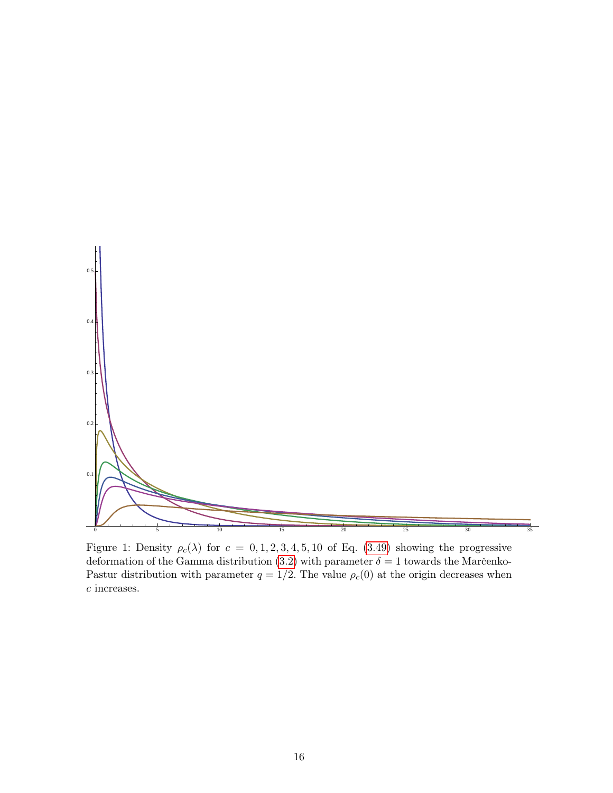

<span id="page-15-0"></span>Figure 1: Density  $\rho_c(\lambda)$  for  $c = 0, 1, 2, 3, 4, 5, 10$  of Eq. [\(3.49\)](#page-13-0) showing the progressive deformation of the Gamma distribution [\(3.2\)](#page-5-5) with parameter  $\delta = 1$  towards the Marc̆enko-Pastur distribution with parameter  $q = 1/2$ . The value  $\rho_c(0)$  at the origin decreases when c increases.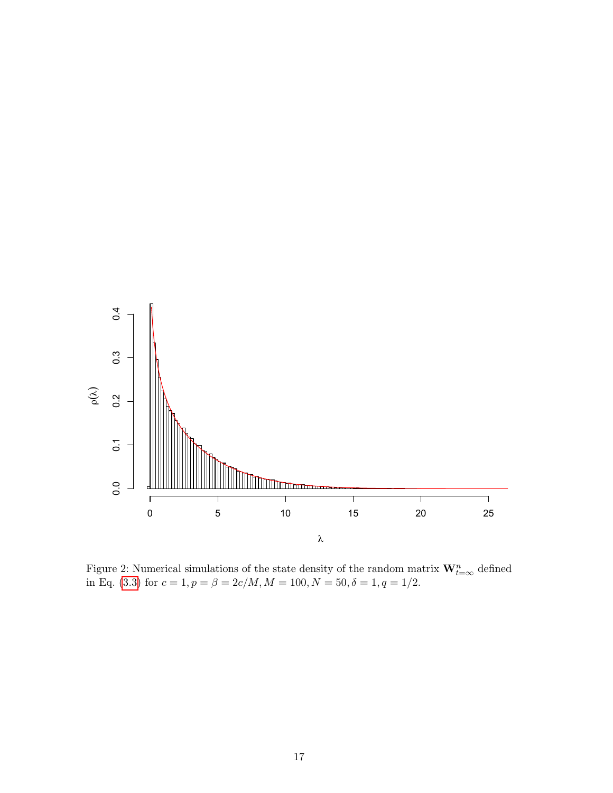

<span id="page-16-0"></span>Figure 2: Numerical simulations of the state density of the random matrix  $\mathbf{W}_{t=\infty}^n$  defined in Eq. [\(3.3\)](#page-6-3) for  $c = 1, p = \beta = 2c/M, M = 100, N = 50, \delta = 1, q = 1/2$ .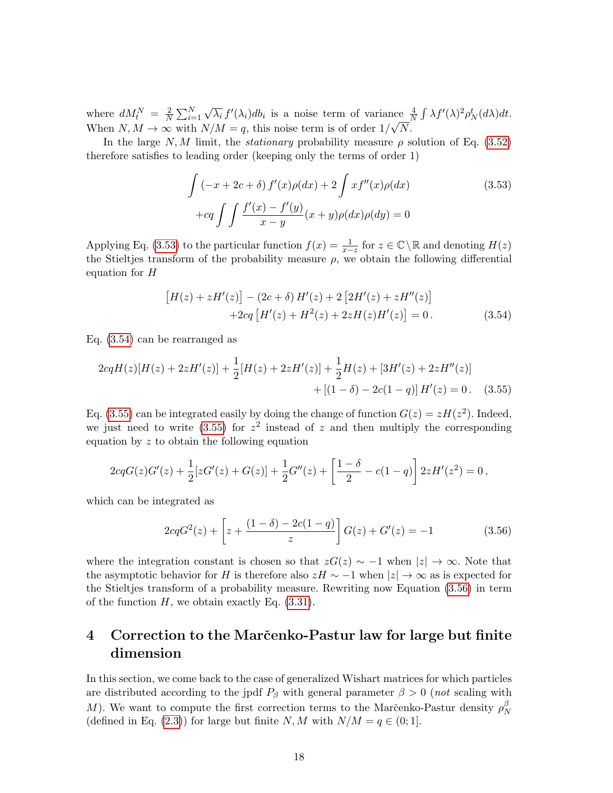where  $dM_t^N = \frac{2}{N}$  $\frac{2}{N} \sum_{i=1}^{N}$ √  $\overline{\lambda_i} f'(\lambda_i) db_i$  is a noise term of variance  $\frac{4}{N} \int \lambda f'(\lambda)^2 \rho_N^t(d\lambda) dt$ . When  $N, M \to \infty$  with  $N/M = q$ , this noise term is of order  $1/\sqrt{N}$ .

In the large N, M limit, the *stationary* probability measure  $\rho$  solution of Eq. [\(3.52\)](#page-14-2) therefore satisfies to leading order (keeping only the terms of order 1)

<span id="page-17-1"></span>
$$
\int \left(-x+2c+\delta\right)f'(x)\rho(dx) + 2\int xf''(x)\rho(dx)
$$
\n
$$
+cq \int \int \frac{f'(x)-f'(y)}{x-y}(x+y)\rho(dx)\rho(dy) = 0
$$
\n(3.53)

Applying Eq. [\(3.53\)](#page-17-1) to the particular function  $f(x) = \frac{1}{x-z}$  for  $z \in \mathbb{C} \setminus \mathbb{R}$  and denoting  $H(z)$ the Stieltjes transform of the probability measure  $\rho$ , we obtain the following differential equation for  $H$ 

<span id="page-17-3"></span><span id="page-17-2"></span>
$$
[H(z) + zH'(z)] - (2c + \delta) H'(z) + 2 [2H'(z) + zH''(z)]
$$
  
+2cq [H'(z) + H<sup>2</sup>(z) + 2zH(z)H'(z)] = 0. (3.54)

Eq. [\(3.54\)](#page-17-2) can be rearranged as

$$
2cqH(z)[H(z) + 2zH'(z)] + \frac{1}{2}[H(z) + 2zH'(z)] + \frac{1}{2}H(z) + [3H'(z) + 2zH''(z)]
$$
  
 
$$
+ [(1 - \delta) - 2c(1 - q)]H'(z) = 0. \quad (3.55)
$$

Eq. [\(3.55\)](#page-17-3) can be integrated easily by doing the change of function  $G(z) = zH(z^2)$ . Indeed, we just need to write [\(3.55\)](#page-17-3) for  $z^2$  instead of z and then multiply the corresponding equation by z to obtain the following equation

$$
2cqG(z)G'(z) + \frac{1}{2}[zG'(z) + G(z)] + \frac{1}{2}G''(z) + \left[\frac{1-\delta}{2} - c(1-q)\right]2zH'(z^2) = 0,
$$

which can be integrated as

<span id="page-17-4"></span>
$$
2cqG^{2}(z) + \left[z + \frac{(1-\delta) - 2c(1-q)}{z}\right]G(z) + G'(z) = -1
$$
\n(3.56)

where the integration constant is chosen so that  $zG(z) \sim -1$  when  $|z| \to \infty$ . Note that the asymptotic behavior for H is therefore also  $zH \sim -1$  when  $|z| \to \infty$  as is expected for the Stieltjes transform of a probability measure. Rewriting now Equation [\(3.56\)](#page-17-4) in term of the function  $H$ , we obtain exactly Eq.  $(3.31)$ .

# <span id="page-17-0"></span>4 Correction to the Marc̆enko-Pastur law for large but finite dimension

In this section, we come back to the case of generalized Wishart matrices for which particles are distributed according to the jpdf  $P_\beta$  with general parameter  $\beta > 0$  (not scaling with M). We want to compute the first correction terms to the Marc̆enko-Pastur density  $\rho_N^{\beta}$ N (defined in Eq. [\(2.3\)](#page-3-2)) for large but finite N, M with  $N/M = q \in (0, 1]$ .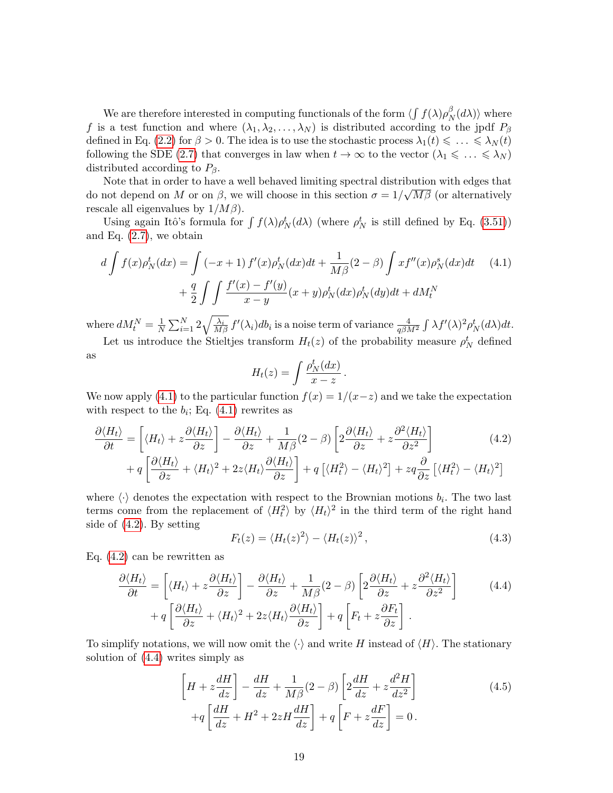We are therefore interested in computing functionals of the form  $\langle \int f(\lambda) \rho_{\Lambda}^{\beta}$  $_N^{\beta}(d\lambda)\rangle$  where f is a test function and where  $(\lambda_1, \lambda_2, ..., \lambda_N)$  is distributed according to the jpdf  $P_\beta$ defined in Eq. [\(2.2\)](#page-3-1) for  $\beta > 0$ . The idea is to use the stochastic process  $\lambda_1(t) \leq \ldots \leq \lambda_N(t)$ following the SDE [\(2.7\)](#page-5-1) that converges in law when  $t \to \infty$  to the vector  $(\lambda_1 \leq \ldots \leq \lambda_N)$ distributed according to  $P_\beta$ .

Note that in order to have a well behaved limiting spectral distribution with edges that do not depend on M or on  $\beta$ , we will choose in this section  $\sigma = 1/\sqrt{M\beta}$  (or alternatively rescale all eigenvalues by  $1/M\beta$ ).

Using again Itô's formula for  $\int f(\lambda)\rho_N^t(d\lambda)$  (where  $\rho_N^t$  is still defined by Eq. [\(3.51\)](#page-14-3)) and Eq.  $(2.7)$ , we obtain

$$
d \int f(x) \rho_N^t (dx) = \int (-x+1) f'(x) \rho_N^t (dx) dt + \frac{1}{M\beta} (2-\beta) \int x f''(x) \rho_N^s (dx) dt \tag{4.1}
$$

$$
+ \frac{q}{2} \int \int \frac{f'(x) - f'(y)}{x - y} (x + y) \rho_N^t (dx) \rho_N^t (dy) dt + dM_t^N
$$

where  $dM_t^N = \frac{1}{N}$  $\frac{1}{N}\sum_{i=1}^N 2\sqrt{\frac{\lambda_i}{M\beta}} f'(\lambda_i)db_i$  is a noise term of variance  $\frac{4}{q\beta M^2} \int \lambda f'(\lambda)^2 \rho_N^t(d\lambda)dt$ .

Let us introduce the Stieltjes transform  $H_t(z)$  of the probability measure  $\rho_N^t$  defined as

<span id="page-18-1"></span><span id="page-18-0"></span>
$$
H_t(z) = \int \frac{\rho_N^t(dx)}{x - z} \, .
$$

We now apply [\(4.1\)](#page-18-0) to the particular function  $f(x) = 1/(x-z)$  and we take the expectation with respect to the  $b_i$ ; Eq.  $(4.1)$  rewrites as

$$
\frac{\partial \langle H_t \rangle}{\partial t} = \left[ \langle H_t \rangle + z \frac{\partial \langle H_t \rangle}{\partial z} \right] - \frac{\partial \langle H_t \rangle}{\partial z} + \frac{1}{M\beta} (2 - \beta) \left[ 2 \frac{\partial \langle H_t \rangle}{\partial z} + z \frac{\partial^2 \langle H_t \rangle}{\partial z^2} \right] + q \left[ \frac{\partial \langle H_t \rangle}{\partial z} + \langle H_t \rangle^2 + 2z \langle H_t \rangle \frac{\partial \langle H_t \rangle}{\partial z} \right] + q \left[ \langle H_t^2 \rangle - \langle H_t \rangle^2 \right] + zq \frac{\partial}{\partial z} \left[ \langle H_t^2 \rangle - \langle H_t \rangle^2 \right]
$$
\n(4.2)

where  $\langle \cdot \rangle$  denotes the expectation with respect to the Brownian motions  $b_i$ . The two last terms come from the replacement of  $\langle H_t^2 \rangle$  by  $\langle H_t \rangle^2$  in the third term of the right hand side of [\(4.2\)](#page-18-1). By setting

<span id="page-18-2"></span>
$$
F_t(z) = \langle H_t(z)^2 \rangle - \langle H_t(z) \rangle^2, \qquad (4.3)
$$

Eq. [\(4.2\)](#page-18-1) can be rewritten as

$$
\frac{\partial \langle H_t \rangle}{\partial t} = \left[ \langle H_t \rangle + z \frac{\partial \langle H_t \rangle}{\partial z} \right] - \frac{\partial \langle H_t \rangle}{\partial z} + \frac{1}{M\beta} (2 - \beta) \left[ 2 \frac{\partial \langle H_t \rangle}{\partial z} + z \frac{\partial^2 \langle H_t \rangle}{\partial z^2} \right] \tag{4.4}
$$

$$
+ q \left[ \frac{\partial \langle H_t \rangle}{\partial z} + \langle H_t \rangle^2 + 2z \langle H_t \rangle \frac{\partial \langle H_t \rangle}{\partial z} \right] + q \left[ F_t + z \frac{\partial F_t}{\partial z} \right].
$$

To simplify notations, we will now omit the  $\langle \cdot \rangle$  and write H instead of  $\langle H \rangle$ . The stationary solution of [\(4.4\)](#page-18-2) writes simply as

$$
\left[H + z\frac{dH}{dz}\right] - \frac{dH}{dz} + \frac{1}{M\beta}(2 - \beta)\left[2\frac{dH}{dz} + z\frac{d^2H}{dz^2}\right] + q\left[\frac{dH}{dz} + H^2 + 2zH\frac{dH}{dz}\right] + q\left[F + z\frac{dF}{dz}\right] = 0.
$$
\n(4.5)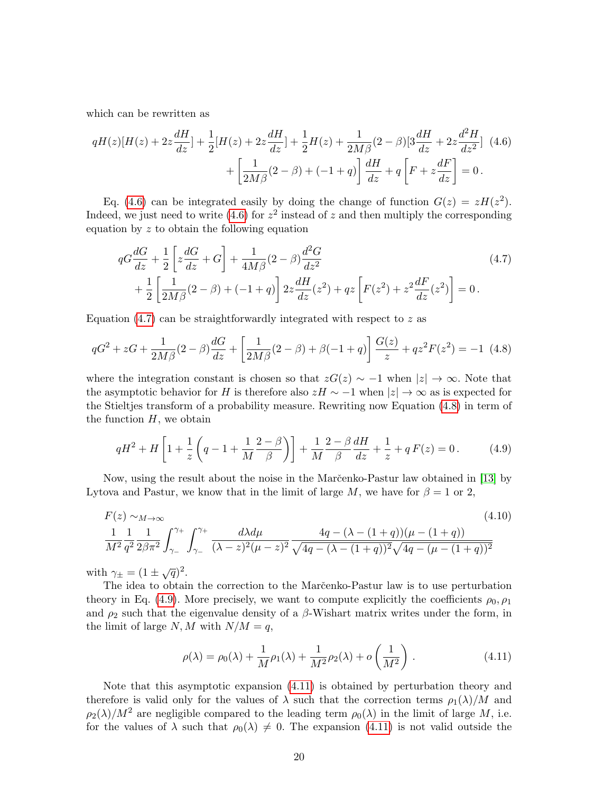which can be rewritten as

$$
qH(z)[H(z) + 2z\frac{dH}{dz}] + \frac{1}{2}[H(z) + 2z\frac{dH}{dz}] + \frac{1}{2}H(z) + \frac{1}{2M\beta}(2-\beta)[3\frac{dH}{dz} + 2z\frac{d^2H}{dz^2}](4.6) + \left[\frac{1}{2M\beta}(2-\beta) + (-1+q)\right]\frac{dH}{dz} + q\left[F + z\frac{dF}{dz}\right] = 0.
$$

Eq. [\(4.6\)](#page-19-0) can be integrated easily by doing the change of function  $G(z) = zH(z^2)$ . Indeed, we just need to write [\(4.6\)](#page-19-0) for  $z^2$  instead of z and then multiply the corresponding equation by  $z$  to obtain the following equation

<span id="page-19-1"></span><span id="page-19-0"></span>
$$
qG\frac{dG}{dz} + \frac{1}{2} \left[ z\frac{dG}{dz} + G \right] + \frac{1}{4M\beta} (2 - \beta) \frac{d^2G}{dz^2} + \frac{1}{2} \left[ \frac{1}{2M\beta} (2 - \beta) + (-1 + q) \right] 2z \frac{dH}{dz} (z^2) + qz \left[ F(z^2) + z^2 \frac{dF}{dz} (z^2) \right] = 0.
$$
 (4.7)

Equation  $(4.7)$  can be straightforwardly integrated with respect to z as

<span id="page-19-2"></span>
$$
qG^{2} + zG + \frac{1}{2M\beta}(2-\beta)\frac{dG}{dz} + \left[\frac{1}{2M\beta}(2-\beta) + \beta(-1+q)\right]\frac{G(z)}{z} + qz^{2}F(z^{2}) = -1
$$
 (4.8)

where the integration constant is chosen so that  $zG(z) \sim -1$  when  $|z| \to \infty$ . Note that the asymptotic behavior for H is therefore also  $zH \sim -1$  when  $|z| \to \infty$  as is expected for the Stieltjes transform of a probability measure. Rewriting now Equation [\(4.8\)](#page-19-2) in term of the function  $H$ , we obtain

<span id="page-19-3"></span>
$$
qH^{2} + H\left[1 + \frac{1}{z}\left(q - 1 + \frac{1}{M}\frac{2 - \beta}{\beta}\right)\right] + \frac{1}{M}\frac{2 - \beta}{\beta}\frac{dH}{dz} + \frac{1}{z} + qF(z) = 0.
$$
 (4.9)

Now, using the result about the noise in the Marc̆enko-Pastur law obtained in [\[13\]](#page-24-9) by Lytova and Pastur, we know that in the limit of large M, we have for  $\beta = 1$  or 2,

$$
F(z) \sim_{M \to \infty} (4.10)
$$
  
\n
$$
\frac{1}{M^2} \frac{1}{q^2} \frac{1}{2\beta \pi^2} \int_{\gamma_-}^{\gamma_+} \int_{\gamma_-}^{\gamma_+} \frac{d\lambda d\mu}{(\lambda - z)^2 (\mu - z)^2} \frac{4q - (\lambda - (1 + q))(\mu - (1 + q))}{\sqrt{4q - (\lambda - (1 + q))^2} \sqrt{4q - (\mu - (1 + q))^2}}
$$
\n(4.10)

with  $\gamma_{\pm} = (1 \pm \sqrt{q})^2$ .

The idea to obtain the correction to the Marc̆enko-Pastur law is to use perturbation theory in Eq. [\(4.9\)](#page-19-3). More precisely, we want to compute explicitly the coefficients  $\rho_0$ ,  $\rho_1$ and  $\rho_2$  such that the eigenvalue density of a  $\beta$ -Wishart matrix writes under the form, in the limit of large  $N, M$  with  $N/M = q$ ,

<span id="page-19-5"></span><span id="page-19-4"></span>
$$
\rho(\lambda) = \rho_0(\lambda) + \frac{1}{M}\rho_1(\lambda) + \frac{1}{M^2}\rho_2(\lambda) + o\left(\frac{1}{M^2}\right).
$$
 (4.11)

Note that this asymptotic expansion [\(4.11\)](#page-19-4) is obtained by perturbation theory and therefore is valid only for the values of  $\lambda$  such that the correction terms  $\rho_1(\lambda)/M$  and  $\rho_2(\lambda)/M^2$  are negligible compared to the leading term  $\rho_0(\lambda)$  in the limit of large M, i.e. for the values of  $\lambda$  such that  $\rho_0(\lambda) \neq 0$ . The expansion [\(4.11\)](#page-19-4) is not valid outside the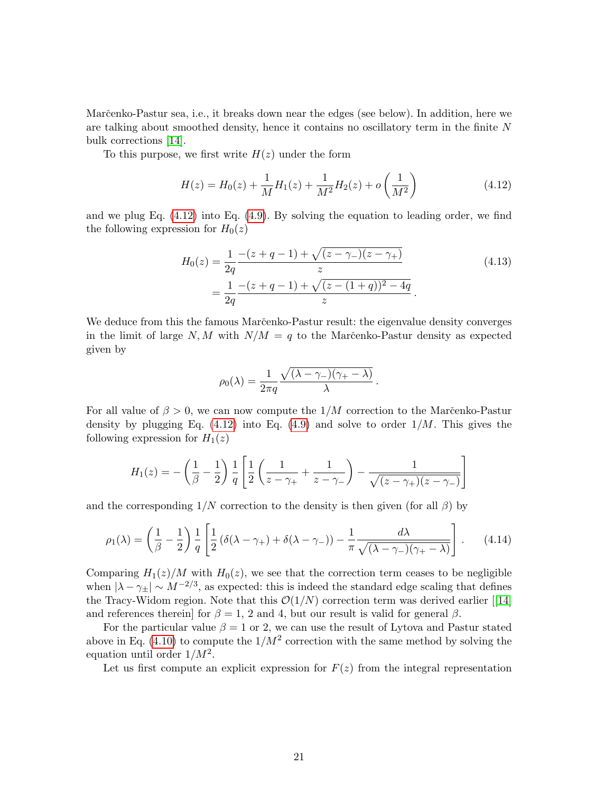Marc̆enko-Pastur sea, i.e., it breaks down near the edges (see below). In addition, here we are talking about smoothed density, hence it contains no oscillatory term in the finite N bulk corrections [\[14\]](#page-24-10).

To this purpose, we first write  $H(z)$  under the form

<span id="page-20-0"></span>
$$
H(z) = H_0(z) + \frac{1}{M}H_1(z) + \frac{1}{M^2}H_2(z) + o\left(\frac{1}{M^2}\right)
$$
(4.12)

and we plug Eq. [\(4.12\)](#page-20-0) into Eq. [\(4.9\)](#page-19-3). By solving the equation to leading order, we find the following expression for  $H_0(z)$ 

$$
H_0(z) = \frac{1}{2q} \frac{-(z+q-1) + \sqrt{(z-\gamma_-)(z-\gamma_+)}}{z}
$$
  
= 
$$
\frac{1}{2q} \frac{-(z+q-1) + \sqrt{(z-(1+q))^2 - 4q}}{z}.
$$
 (4.13)

.

We deduce from this the famous Marc̆enko-Pastur result: the eigenvalue density converges in the limit of large  $N, M$  with  $N/M = q$  to the Marc̆enko-Pastur density as expected given by

$$
\rho_0(\lambda) = \frac{1}{2\pi q} \frac{\sqrt{(\lambda - \gamma_{-})(\gamma_{+} - \lambda)}}{\lambda}
$$

For all value of  $\beta > 0$ , we can now compute the  $1/M$  correction to the Marc̆enko-Pastur density by plugging Eq.  $(4.12)$  into Eq.  $(4.9)$  and solve to order  $1/M$ . This gives the following expression for  $H_1(z)$ 

$$
H_1(z) = -\left(\frac{1}{\beta} - \frac{1}{2}\right) \frac{1}{q} \left[ \frac{1}{2} \left( \frac{1}{z - \gamma_+} + \frac{1}{z - \gamma_-} \right) - \frac{1}{\sqrt{(z - \gamma_+)(z - \gamma_-)}} \right]
$$

and the corresponding  $1/N$  correction to the density is then given (for all  $\beta$ ) by

$$
\rho_1(\lambda) = \left(\frac{1}{\beta} - \frac{1}{2}\right) \frac{1}{q} \left[ \frac{1}{2} \left( \delta(\lambda - \gamma_+) + \delta(\lambda - \gamma_-) \right) - \frac{1}{\pi} \frac{d\lambda}{\sqrt{(\lambda - \gamma_-)(\gamma_+ - \lambda)}} \right].
$$
 (4.14)

Comparing  $H_1(z)/M$  with  $H_0(z)$ , we see that the correction term ceases to be negligible when  $|\lambda - \gamma_{\pm}| \sim M^{-2/3}$ , as expected: this is indeed the standard edge scaling that defines theTracy-Widom region. Note that this  $\mathcal{O}(1/N)$  correction term was derived earlier [[\[14\]](#page-24-10) and references therein] for  $\beta = 1$ , 2 and 4, but our result is valid for general  $\beta$ .

For the particular value  $\beta = 1$  or 2, we can use the result of Lytova and Pastur stated above in Eq. [\(4.10\)](#page-19-5) to compute the  $1/M^2$  correction with the same method by solving the equation until order  $1/M^2$ .

Let us first compute an explicit expression for  $F(z)$  from the integral representation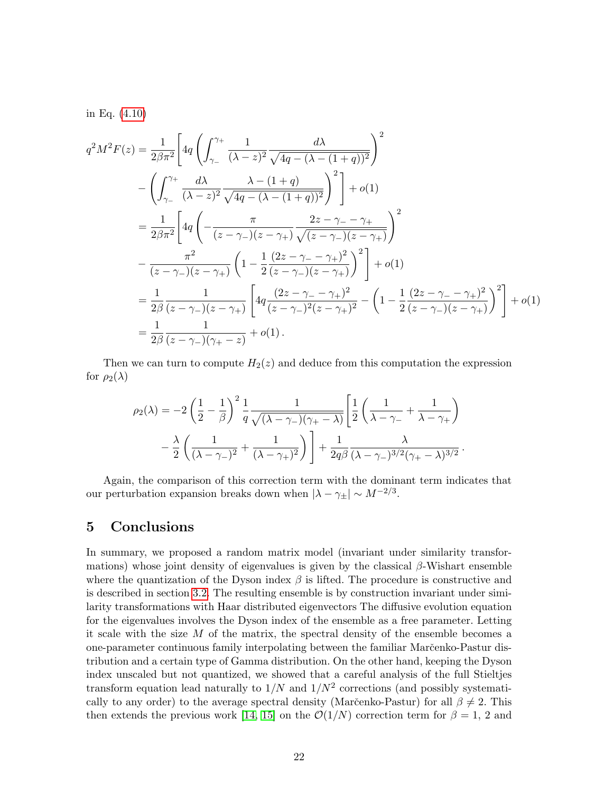in Eq. [\(4.10\)](#page-19-5)

$$
q^{2}M^{2}F(z) = \frac{1}{2\beta\pi^{2}} \left[ 4q \left( \int_{\gamma_{-}}^{\gamma_{+}} \frac{1}{(\lambda - z)^{2}} \frac{d\lambda}{\sqrt{4q - (\lambda - (1 + q))^{2}}} \right)^{2} - \left( \int_{\gamma_{-}}^{\gamma_{+}} \frac{d\lambda}{(\lambda - z)^{2}} \frac{\lambda - (1 + q)}{\sqrt{4q - (\lambda - (1 + q))^{2}}} \right)^{2} \right] + o(1)
$$
  
\n
$$
= \frac{1}{2\beta\pi^{2}} \left[ 4q \left( -\frac{\pi}{(z - \gamma_{-})(z - \gamma_{+})} \frac{2z - \gamma_{-} - \gamma_{+}}{\sqrt{(z - \gamma_{-})(z - \gamma_{+})}} \right)^{2} - \frac{\pi^{2}}{(z - \gamma_{-})(z - \gamma_{+})} \left( 1 - \frac{1}{2} \frac{(2z - \gamma_{-} - \gamma_{+})^{2}}{(z - \gamma_{-})(z - \gamma_{+})} \right)^{2} \right] + o(1)
$$
  
\n
$$
= \frac{1}{2\beta} \frac{1}{(z - \gamma_{-})(z - \gamma_{+})} \left[ 4q \frac{(2z - \gamma_{-} - \gamma_{+})^{2}}{(z - \gamma_{-})^{2}(z - \gamma_{+})^{2}} - \left( 1 - \frac{1}{2} \frac{(2z - \gamma_{-} - \gamma_{+})^{2}}{(z - \gamma_{-})(z - \gamma_{+})} \right)^{2} \right] + o(1)
$$
  
\n
$$
= \frac{1}{2\beta} \frac{1}{(z - \gamma_{-})(\gamma_{+} - z)} + o(1).
$$

Then we can turn to compute  $H_2(z)$  and deduce from this computation the expression for  $\rho_2(\lambda)$ 

$$
\rho_2(\lambda) = -2\left(\frac{1}{2} - \frac{1}{\beta}\right)^2 \frac{1}{q} \frac{1}{\sqrt{(\lambda - \gamma_-)(\gamma_+ - \lambda)}} \left[\frac{1}{2}\left(\frac{1}{\lambda - \gamma_-} + \frac{1}{\lambda - \gamma_+}\right) -\frac{\lambda}{2}\left(\frac{1}{(\lambda - \gamma_-)^2} + \frac{1}{(\lambda - \gamma_+)^2}\right)\right] + \frac{1}{2q\beta} \frac{\lambda}{(\lambda - \gamma_-)^{3/2}(\gamma_+ - \lambda)^{3/2}}.
$$

Again, the comparison of this correction term with the dominant term indicates that our perturbation expansion breaks down when  $|\lambda - \gamma_{\pm}| \sim M^{-2/3}$ .

# <span id="page-21-0"></span>5 Conclusions

In summary, we proposed a random matrix model (invariant under similarity transformations) whose joint density of eigenvalues is given by the classical  $\beta$ -Wishart ensemble where the quantization of the Dyson index  $\beta$  is lifted. The procedure is constructive and is described in section [3.2.](#page-5-4) The resulting ensemble is by construction invariant under similarity transformations with Haar distributed eigenvectors The diffusive evolution equation for the eigenvalues involves the Dyson index of the ensemble as a free parameter. Letting it scale with the size M of the matrix, the spectral density of the ensemble becomes a one-parameter continuous family interpolating between the familiar Marc̆enko-Pastur distribution and a certain type of Gamma distribution. On the other hand, keeping the Dyson index unscaled but not quantized, we showed that a careful analysis of the full Stieltjes transform equation lead naturally to  $1/N$  and  $1/N^2$  corrections (and possibly systematically to any order) to the average spectral density (Marc̆enko-Pastur) for all  $\beta \neq 2$ . This then extends the previous work [\[14,](#page-24-10) [15\]](#page-24-11) on the  $\mathcal{O}(1/N)$  correction term for  $\beta = 1, 2$  and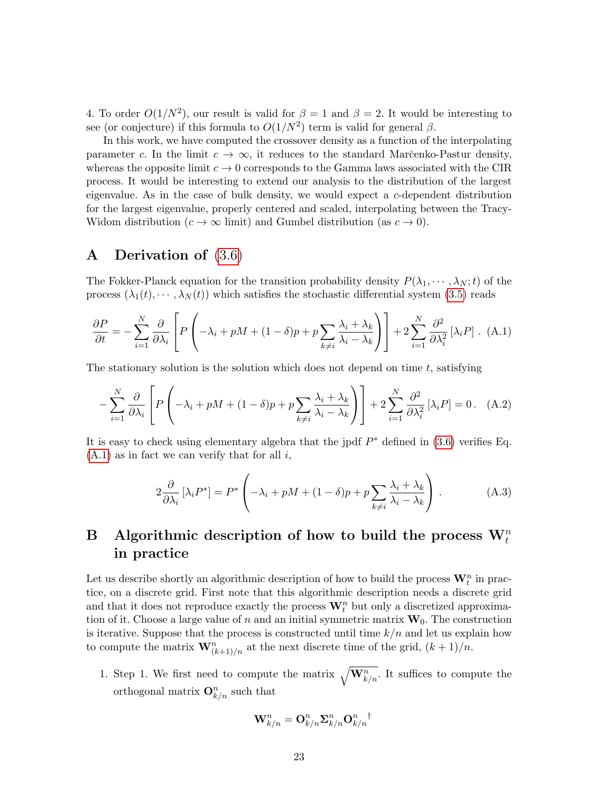4. To order  $O(1/N^2)$ , our result is valid for  $\beta = 1$  and  $\beta = 2$ . It would be interesting to see (or conjecture) if this formula to  $O(1/N^2)$  term is valid for general  $\beta$ .

In this work, we have computed the crossover density as a function of the interpolating parameter c. In the limit  $c \to \infty$ , it reduces to the standard Marc̆enko-Pastur density, whereas the opposite limit  $c \to 0$  corresponds to the Gamma laws associated with the CIR process. It would be interesting to extend our analysis to the distribution of the largest eigenvalue. As in the case of bulk density, we would expect a c-dependent distribution for the largest eigenvalue, properly centered and scaled, interpolating between the Tracy-Widom distribution  $(c \to \infty$  limit) and Gumbel distribution (as  $c \to 0$ ).

# <span id="page-22-1"></span>A Derivation of [\(3.6\)](#page-7-1)

The Fokker-Planck equation for the transition probability density  $P(\lambda_1, \dots, \lambda_N; t)$  of the process  $(\lambda_1(t), \dots, \lambda_N(t))$  which satisfies the stochastic differential system [\(3.5\)](#page-6-2) reads

<span id="page-22-2"></span>
$$
\frac{\partial P}{\partial t} = -\sum_{i=1}^{N} \frac{\partial}{\partial \lambda_i} \left[ P \left( -\lambda_i + pM + (1 - \delta)p + p \sum_{k \neq i} \frac{\lambda_i + \lambda_k}{\lambda_i - \lambda_k} \right) \right] + 2 \sum_{i=1}^{N} \frac{\partial^2}{\partial \lambda_i^2} \left[ \lambda_i P \right]. \tag{A.1}
$$

The stationary solution is the solution which does not depend on time  $t$ , satisfying

$$
-\sum_{i=1}^{N} \frac{\partial}{\partial \lambda_i} \left[ P\left( -\lambda_i + pM + (1-\delta)p + p \sum_{k \neq i} \frac{\lambda_i + \lambda_k}{\lambda_i - \lambda_k} \right) \right] + 2 \sum_{i=1}^{N} \frac{\partial^2}{\partial \lambda_i^2} [\lambda_i P] = 0. \quad (A.2)
$$

It is easy to check using elementary algebra that the jpdf  $P^*$  defined in [\(3.6\)](#page-7-1) verifies Eq.  $(A.1)$  as in fact we can verify that for all i,

$$
2\frac{\partial}{\partial \lambda_i} [\lambda_i P^*] = P^* \left( -\lambda_i + pM + (1 - \delta)p + p \sum_{k \neq i} \frac{\lambda_i + \lambda_k}{\lambda_i - \lambda_k} \right). \tag{A.3}
$$

# <span id="page-22-0"></span>B Algorithmic description of how to build the process  $\mathbf{W}_{t}^{n}$ in practice

Let us describe shortly an algorithmic description of how to build the process  $\mathbf{W}_t^n$  in practice, on a discrete grid. First note that this algorithmic description needs a discrete grid and that it does not reproduce exactly the process  $\mathbf{W}_t^n$  but only a discretized approximation of it. Choose a large value of n and an initial symmetric matrix  $W_0$ . The construction is iterative. Suppose that the process is constructed until time  $k/n$  and let us explain how to compute the matrix  $\mathbf{W}_{(k+1)/n}^n$  at the next discrete time of the grid,  $(k+1)/n$ .

1. Step 1. We first need to compute the matrix  $\sqrt{\mathbf{W}_{k/n}^n}$ . It suffices to compute the orthogonal matrix  $\mathbf{O}_{k/n}^n$  such that

$$
\mathbf{W}_{k/n}^{n}=\mathbf{O}_{k/n}^{n}\mathbf{\Sigma}_{k/n}^{n}\mathbf{O}_{k/n}^{n^\top}
$$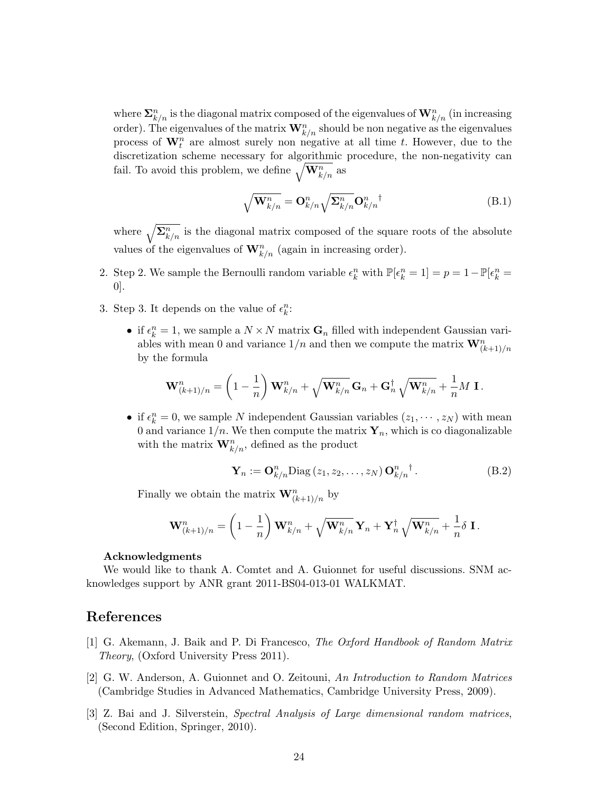where  $\sum_{k/n}^n$  is the diagonal matrix composed of the eigenvalues of  $\mathbf{W}^n_{k/n}$  (in increasing order). The eigenvalues of the matrix  $\mathbf{W}^n_{k/n}$  should be non negative as the eigenvalues process of  $\mathbf{W}_{t}^{n}$  are almost surely non negative at all time t. However, due to the discretization scheme necessary for algorithmic procedure, the non-negativity can fail. To avoid this problem, we define  $\sqrt{\mathbf{W}_{k/n}^n}$  as

$$
\sqrt{\mathbf{W}_{k/n}^n} = \mathbf{O}_{k/n}^n \sqrt{\mathbf{\Sigma}_{k/n}^n} \mathbf{O}_{k/n}^n^{\dagger}
$$
\n(B.1)

where  $\sqrt{\sum_{k=n}^{n}}$  is the diagonal matrix composed of the square roots of the absolute values of the eigenvalues of  $\mathbf{W}^n_{k/n}$  (again in increasing order).

- 2. Step 2. We sample the Bernoulli random variable  $\epsilon_k^n$  with  $\mathbb{P}[\epsilon_k^n = 1] = p = 1 \mathbb{P}[\epsilon_k^n = 1]$ 0].
- 3. Step 3. It depends on the value of  $\epsilon_k^n$ :
	- if  $\epsilon_k^n = 1$ , we sample a  $N \times N$  matrix  $\mathbf{G}_n$  filled with independent Gaussian variables with mean 0 and variance  $1/n$  and then we compute the matrix  $\mathbf{W}_{(k+1)/n}^n$ by the formula

$$
\mathbf{W}^n_{(k+1)/n} = \left(1-\frac{1}{n}\right)\mathbf{W}^n_{k/n} + \sqrt{\mathbf{W}^n_{k/n}}\,\mathbf{G}_n + \mathbf{G}_n^\dagger\,\sqrt{\mathbf{W}^n_{k/n}} + \frac{1}{n}M\;\mathbf{I}\,.
$$

• if  $\epsilon_k^n = 0$ , we sample N independent Gaussian variables  $(z_1, \dots, z_N)$  with mean 0 and variance  $1/n$ . We then compute the matrix  $Y_n$ , which is co diagonalizable with the matrix  $\mathbf{W}_{k/n}^n$ , defined as the product

$$
\mathbf{Y}_n := \mathbf{O}_{k/n}^n \text{Diag}(z_1, z_2, \dots, z_N) \mathbf{O}_{k/n}^n^{\dagger}.
$$
 (B.2)

Finally we obtain the matrix  $\mathbf{W}^n_{(k+1)/n}$  by

$$
\mathbf{W}_{(k+1)/n}^n = \left(1 - \frac{1}{n}\right) \mathbf{W}_{k/n}^n + \sqrt{\mathbf{W}_{k/n}^n} \mathbf{Y}_n + \mathbf{Y}_n^\dagger \sqrt{\mathbf{W}_{k/n}^n} + \frac{1}{n} \delta \mathbf{I}.
$$

#### Acknowledgments

We would like to thank A. Comtet and A. Guionnet for useful discussions. SNM acknowledges support by ANR grant 2011-BS04-013-01 WALKMAT.

### References

- <span id="page-23-0"></span>[1] G. Akemann, J. Baik and P. Di Francesco, The Oxford Handbook of Random Matrix Theory, (Oxford University Press 2011).
- <span id="page-23-1"></span>[2] G. W. Anderson, A. Guionnet and O. Zeitouni, An Introduction to Random Matrices (Cambridge Studies in Advanced Mathematics, Cambridge University Press, 2009).
- <span id="page-23-2"></span>[3] Z. Bai and J. Silverstein, Spectral Analysis of Large dimensional random matrices, (Second Edition, Springer, 2010).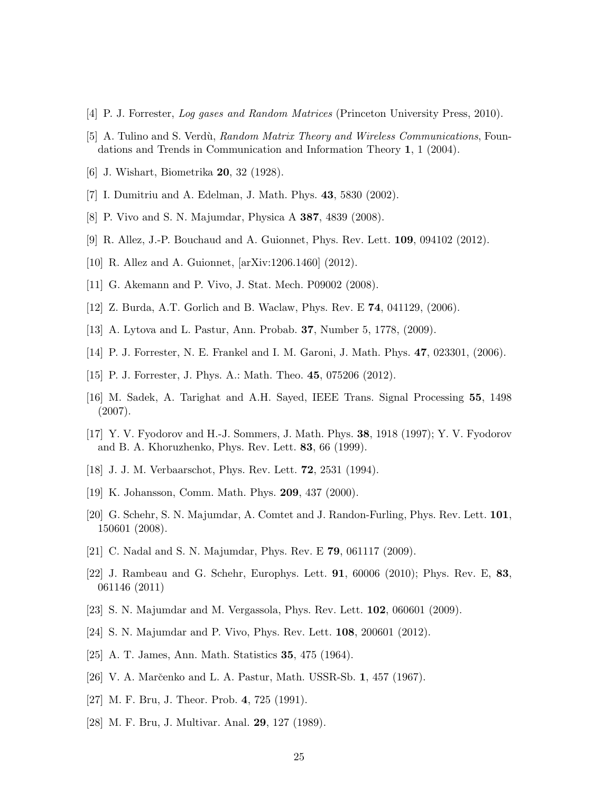- <span id="page-24-0"></span>[4] P. J. Forrester, Log gases and Random Matrices (Princeton University Press, 2010).
- <span id="page-24-1"></span>[5] A. Tulino and S. Verdù, Random Matrix Theory and Wireless Communications, Foundations and Trends in Communication and Information Theory 1, 1 (2004).
- <span id="page-24-2"></span>[6] J. Wishart, Biometrika 20, 32 (1928).
- <span id="page-24-3"></span>[7] I. Dumitriu and A. Edelman, J. Math. Phys. 43, 5830 (2002).
- <span id="page-24-4"></span>[8] P. Vivo and S. N. Majumdar, Physica A 387, 4839 (2008).
- <span id="page-24-5"></span>[9] R. Allez, J.-P. Bouchaud and A. Guionnet, Phys. Rev. Lett. 109, 094102 (2012).
- <span id="page-24-6"></span>[10] R. Allez and A. Guionnet, [arXiv:1206.1460] (2012).
- <span id="page-24-7"></span>[11] G. Akemann and P. Vivo, J. Stat. Mech. P09002 (2008).
- <span id="page-24-8"></span>[12] Z. Burda, A.T. Gorlich and B. Waclaw, Phys. Rev. E 74, 041129, (2006).
- <span id="page-24-9"></span>[13] A. Lytova and L. Pastur, Ann. Probab. 37, Number 5, 1778, (2009).
- <span id="page-24-10"></span>[14] P. J. Forrester, N. E. Frankel and I. M. Garoni, J. Math. Phys. 47, 023301, (2006).
- <span id="page-24-11"></span>[15] P. J. Forrester, J. Phys. A.: Math. Theo. 45, 075206 (2012).
- <span id="page-24-12"></span>[16] M. Sadek, A. Tarighat and A.H. Sayed, IEEE Trans. Signal Processing 55, 1498 (2007).
- <span id="page-24-13"></span>[17] Y. V. Fyodorov and H.-J. Sommers, J. Math. Phys. 38, 1918 (1997); Y. V. Fyodorov and B. A. Khoruzhenko, Phys. Rev. Lett. 83, 66 (1999).
- <span id="page-24-14"></span>[18] J. J. M. Verbaarschot, Phys. Rev. Lett. 72, 2531 (1994).
- <span id="page-24-15"></span>[19] K. Johansson, Comm. Math. Phys. 209, 437 (2000).
- <span id="page-24-16"></span>[20] G. Schehr, S. N. Majumdar, A. Comtet and J. Randon-Furling, Phys. Rev. Lett. 101, 150601 (2008).
- <span id="page-24-17"></span>[21] C. Nadal and S. N. Majumdar, Phys. Rev. E 79, 061117 (2009).
- <span id="page-24-18"></span>[22] J. Rambeau and G. Schehr, Europhys. Lett. 91, 60006 (2010); Phys. Rev. E, 83, 061146 (2011)
- <span id="page-24-19"></span>[23] S. N. Majumdar and M. Vergassola, Phys. Rev. Lett. 102, 060601 (2009).
- <span id="page-24-20"></span>[24] S. N. Majumdar and P. Vivo, Phys. Rev. Lett. 108, 200601 (2012).
- <span id="page-24-21"></span>[25] A. T. James, Ann. Math. Statistics 35, 475 (1964).
- <span id="page-24-22"></span>[26] V. A. Marčenko and L. A. Pastur, Math. USSR-Sb. 1, 457 (1967).
- <span id="page-24-23"></span>[27] M. F. Bru, J. Theor. Prob. 4, 725 (1991).
- <span id="page-24-24"></span>[28] M. F. Bru, J. Multivar. Anal. 29, 127 (1989).